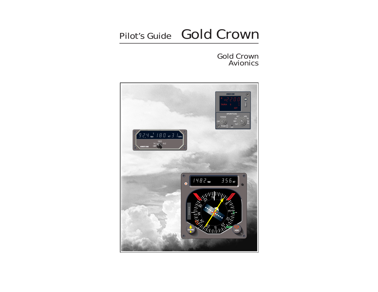# Pilot's Guide Gold Crown

# Gold Crown Avionics

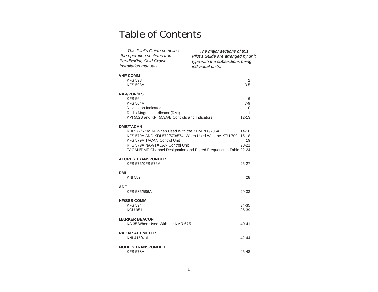# Table of Contents

| This Pilot's Guide compiles<br>the operation sections from<br><b>Bendix/King Gold Crown</b><br>Installation manuals.                                                                                                                                                        | The major sections of this<br>Pilot's Guide are arranged by unit<br>type with the subsections being<br>individual units. |                                       |  |  |
|-----------------------------------------------------------------------------------------------------------------------------------------------------------------------------------------------------------------------------------------------------------------------------|--------------------------------------------------------------------------------------------------------------------------|---------------------------------------|--|--|
| <b>VHF COMM</b><br><b>KFS 598</b><br><b>KFS 598A</b>                                                                                                                                                                                                                        |                                                                                                                          | 2<br>$3 - 5$                          |  |  |
| <b>NAV/VOR/ILS</b><br><b>KFS 564</b><br><b>KFS 564A</b><br>Navigation Indicator<br>Radio Magnetic Indicator (RMI)<br>KPI 552B and KPI 553A/B Controls and Indicators                                                                                                        |                                                                                                                          | 6<br>$7-9$<br>10<br>11<br>$12 - 13$   |  |  |
| <b>DME/TACAN</b><br>KDI 572/573/574 When Used With the KDM 706/706A<br>KFS 579A AND KDI 572/573/574 When Used With the KTU 709<br><b>KFS 579A TACAN Control Unit</b><br>KFS 579A NAV/TACAN Control Unit<br>TACAN/DME Channel Designation and Paired Frequencies Table 22-24 |                                                                                                                          | 14-16<br>$16 - 18$<br>19<br>$20 - 21$ |  |  |
| <b>ATCRBS TRANSPONDER</b><br><b>KFS 576/KFS 576A</b>                                                                                                                                                                                                                        |                                                                                                                          | 25-27                                 |  |  |
| RMI<br>KNI 582                                                                                                                                                                                                                                                              |                                                                                                                          | 28                                    |  |  |
| <b>ADF</b><br><b>KFS 586/586A</b>                                                                                                                                                                                                                                           |                                                                                                                          | 29-33                                 |  |  |
| <b>HF/SSB COMM</b><br><b>KFS 594</b><br><b>KCU 951</b>                                                                                                                                                                                                                      |                                                                                                                          | 34-35<br>36-39                        |  |  |
| <b>MARKER BEACON</b><br>KA 35 When Used With the KMR 675                                                                                                                                                                                                                    |                                                                                                                          | 40-41                                 |  |  |
| <b>RADAR ALTIMETER</b><br>KNI 415/416                                                                                                                                                                                                                                       |                                                                                                                          | 42-44                                 |  |  |
| <b>MODE S TRANSPONDER</b><br><b>KFS 578A</b>                                                                                                                                                                                                                                |                                                                                                                          | 45-48                                 |  |  |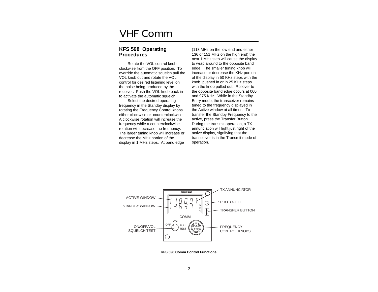# <span id="page-2-0"></span>VHF Comm

# **KFS 598 Operating Procedures**

Rotate the VOL control knob clockwise from the OFF position. To override the automatic squelch pull the VOL knob out and rotate the VOL control for desired listening level on the noise being produced by the receiver. Push the VOL knob back in to activate the automatic squelch.

Select the desired operating frequency in the Standby display by rotating the Frequency Control knobs either clockwise or counterclockwise. A clockwise rotation will increase the frequency while a counterclockwise rotation will decrease the frequency. The larger tuning knob will increase or decrease the MHz portion of the display in 1 MHz steps. At band edge (118 MHz on the low end and either 136 or 151 MHz on the high end) the next 1 MHz step will cause the display to wrap around to the opposite band edge. The smaller tuning knob will increase or decrease the KHz portion of the display in 50 KHz steps with the knob pushed in or in 25 KHz steps with the knob pulled out. Rollover to the opposite band edge occurs at 000 and 975 KHz. While in the Standby Entry mode, the transceiver remains tuned to the frequency displayed in the Active window at all times. To transfer the Standby Frequency to the active, press the Transfer Button. During the transmit operation, a TX annunciation will light just right of the active display, signifying that the transceiver is in the Transmit mode of operation.



**KFS 598 Comm Control Functions**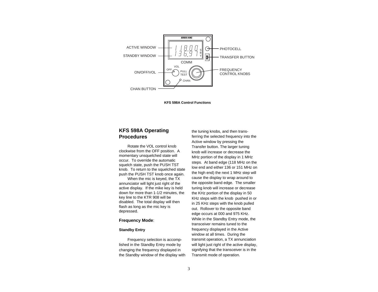<span id="page-3-0"></span>

**KFS 598A Control Functions**

# **KFS 598A Operating Procedures**

Rotate the VOL control knob clockwise from the OFF position. A momentary unsquelched state will occur. To override the automatic squelch state, push the PUSH TST knob. To return to the squelched state push the PUSH TST knob once again.

When the mic is keyed, the TX annunciator will light just right of the active display. If the mike key is held down for more than 1-1/2 minutes, the key line to the KTR 908 will be disabled. The total display will then flash as long as the mic key is depressed.

## **Frequency Mode**:

## **Standby Entry**

Frequency selection is accomplished in the Standby Entry mode by changing the frequency displayed in the Standby window of the display with the tuning knobs, and then transferring the selected frequency into the Active window by pressing the Transfer button. The larger tuning knob will increase or decrease the MHz portion of the display in 1 MHz steps. At band edge (118 MHz on the low end and either 136 or 151 MHz on the high end) the next 1 MHz step will cause the display to wrap around to the opposite band edge. The smaller tuning knob will increase or decrease the KHz portion of the display in 50 KHz steps with the knob pushed in or in 25 KHz steps with the knob pulled out. Rollover to the opposite band edge occurs at 000 and 975 KHz. While in the Standby Entry mode, the transceiver remains tuned to the frequency displayed in the Active window at all times. During the transmit operation, a TX annunciation will light just right of the active display. signifying that the transceiver is in the Transmit mode of operation.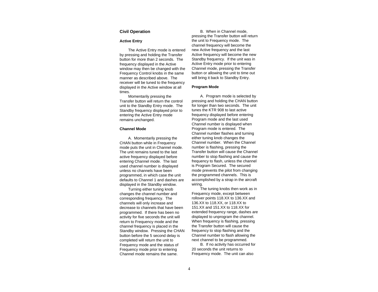# **Civil Operation**

## **Active Entry**

The Active Entry mode is entered by pressing and holding the Transfer button for more than 2 seconds. The frequency displayed in the Active window may then be changed with the Frequency Control knobs in the same manner as described above. The receiver will be tuned to the frequency displayed in the Active window at all times.

Momentarily pressing the Transfer button will return the control unit to the Standby Entry mode. The Standby frequency displayed prior to entering the Active Entry mode remains unchanged.

## **Channel Mode**

A. Momentarily pressing the CHAN button while in Frequency mode puts the unit in Channel mode. The unit remains tuned to the last active frequency displayed before entering Channel mode. The last used channel number is displayed unless no channels have been programmed, in which case the unit defaults to Channel 1 and dashes are displayed in the Standby window.

Turning either tuning knob changes the channel number and corresponding frequency. The channels will only increase and decrease to channels that have been programmed. If there has been no activity for five seconds the unit will return to Frequency mode and the channel frequency is placed in the Standby window. Pressing the CHAN button before the 5 second delay is completed will return the unit to Frequency mode and the status of Frequency mode prior to entering Channel mode remains the same.

B. When in Channel mode, pressing the Transfer button will return the unit to Frequency mode. The channel frequency will become the new Active frequency and the last Active frequency will become the new Standby frequency. If the unit was in Active Entry mode prior to entering Channel mode, pressing the Transfer button or allowing the unit to time out will bring it back to Standby Entry.

#### **Program Mode**

A. Program mode is selected by pressing and holding the CHAN button for longer than two seconds. The unit tunes the KTR 908 to last active frequency displayed before entering Program mode and the last used Channel number is displayed when Program mode is entered. The Channel number flashes and turning either tuning knob changes the Channel number. When the Channel number is flashing, pressing the Transfer button will cause the Channel number to stop flashing and cause the frequency to flash, unless the channel is Program Secured. The secured mode prevents the pilot from changing the programmed channels. This is accomplished by a strap in the aircraft wiring.

The tuning knobs then work as in Frequency mode, except between rollover points 118.XX to 136.XX and 136.XX to 118.XX, or 118.XX to 151.XX and 151.XX to 118.XX for extended frequency range, dashes are displayed to unprogram the channel. When frequency is flashing, pressing the Transfer button will cause the frequency to stop flashing and the Channel number to flash allowing the next channel to be programmed.

B. If no activity has occurred for 20 seconds the unit returns to Frequency mode. The unit can also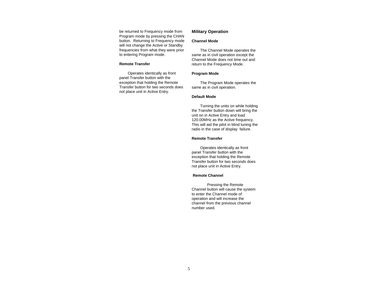be returned to Frequency mode from Program mode by pressing the CHAN button. Returning to Frequency mode will not change the Active or Standby frequencies from what they were prior to entering Program mode.

## **Remote Transfer**

Operates identically as front panel Transfer button with the exception that holding the Remote Transfer button for two seconds does not place unit in Active Entry.

# **Military Operation**

# **Channel Mode**

The Channel Mode operates the same as in civil operation except the Channel Mode does not time out and return to the Frequency Mode.

#### **Program Mode**

The Program Mode operates the same as in civil operation.

#### **Default Mode**

Turning the units on while holding the Transfer button down will bring the unit on in Active Entry and load 120.00MHz as the Active frequency. This will aid the pilot in blind tuning the radio in the case of display failure.

# **Remote Transfer**

Operates identically as front panel Transfer button with the exception that holding the Remote Transfer button for two seconds does not place unit in Active Entry.

## **Remote Channel**

Pressing the Remote Channel button will cause the system to enter the Channel mode of operation and will increase the channel from the previous channel number used.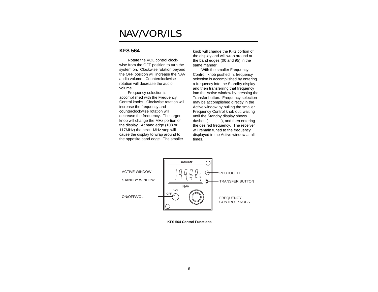# <span id="page-6-0"></span>NAV/VOR/ILS

# **KFS 564**

Rotate the VOL control clockwise from the OFF position to turn the system on. Clockwise rotation beyond the OFF position will increase the NAV audio volume. Counterclockwise rotation will decrease the audio volume.

Frequency selection is accomplished with the Frequency Control knobs. Clockwise rotation will increase the frequency and counterclockwise rotation will decrease the frequency. The larger knob will change the MHz portion of the display. At band edge (108 or 117MHz) the next 1MHz step will cause the display to wrap around to the opposite band edge. The smaller

knob will change the KHz portion of the display and will wrap around at the band edges (00 and 95) in the same manner.

With the smaller Frequency Control knob pushed in, frequency selection is accomplished by entering a frequency into the Standby display and then transferring that frequency into the Active window by pressing the Transfer button. Frequency selection may be accomplished directly in the Active window by pulling the smaller Frequency Control knob out, waiting until the Standby display shows dashes  $(- -$ , and then entering the desired frequency. The receiver will remain tuned to the frequency displayed in the Active window at all times.



**KFS 564 Control Functions**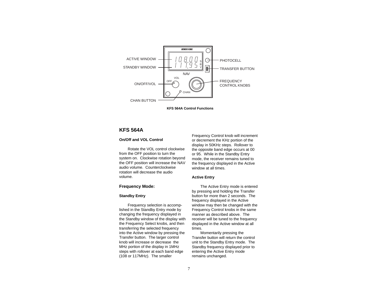<span id="page-7-0"></span>

**KFS 564A Control Functions**

# **KFS 564A**

# **On/Off and VOL Control**

Rotate the VOL control clockwise from the OFF position to turn the system on. Clockwise rotation beyond the OFF position will increase the NAV audio volume. Counterclockwise rotation will decrease the audio volume.

# **Frequency Mode:**

## **Standby Entry**

Frequency selection is accomplished in the Standby Entry mode by changing the frequency displayed in the Standby window of the display with the Frequency Select knobs, and then transferring the selected frequency into the Active window by pressing the Transfer button. The larger control knob will increase or decrease the MHz portion of the display in 1MHz steps with rollover at each band edge (108 or 117MHz). The smaller

Frequency Control knob will increment or decrement the KHz portion of the display in 50KHz steps. Rollover to the opposite band edge occurs at 00 or 95. While in the Standby Entry mode, the receiver remains tuned to the frequency displayed in the Active window at all times.

# **Active Entry**

The Active Entry mode is entered by pressing and holding the Transfer button for more than 2 seconds. The frequency displayed in the Active window may then be changed with the Frequency Control knobs in the same manner as described above. The receiver will be tuned to the frequency displayed in the Active window at all times.

Momentarily pressing the Transfer button will return the control unit to the Standby Entry mode. The Standby frequency displayed prior to entering the Active Entry mode remains unchanged.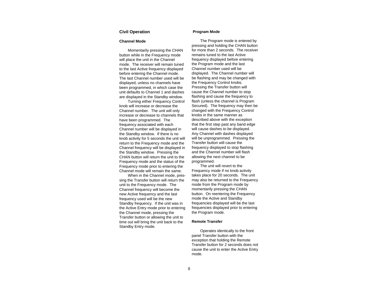## **Civil Operation**

#### **Channel Mode**

Momentarily pressing the CHAN button while in the Frequency mode will place the unit in the Channel mode. The receiver will remain tuned to the last Active frequency displayed before entering the Channel mode. The last Channel number used will be displayed, unless no channels have been programmed, in which case the unit defaults to Channel 1 and dashes are displayed in the Standby window.

Turning either Frequency Control knob will increase or decrease the Channel number. The unit will only increase or decrease to channels that have been programmed. The frequency associated with each Channel number will be displayed in the Standby window. If there is no knob activity for 5 seconds the unit will return to the Frequency mode and the Channel frequency will be displayed in the Standby window. Pressing the CHAN button will return the unit to the Frequency mode and the status of the Frequency mode prior to entering the Channel mode will remain the same.

When in the Channel mode, pressing the Transfer button will return the unit to the Frequency mode. The Channel frequency will become the new Active frequency and the last frequency used will be the new Standby frequency. If the unit was in the Active Entry mode prior to entering the Channel mode, pressing the Transfer button or allowing the unit to time out will bring the unit back to the Standby Entry mode.

#### **Program Mode**

The Program mode is entered by pressing and holding the CHAN button for more than 2 seconds. The receiver remains tuned to the last Active frequency displayed before entering the Program mode and the last Channel number used will be displayed. The Channel number will be flashing and may be changed with the Frequency Control knobs. Pressing the Transfer button will cause the Channel number to stop flashing and cause the frequency to flash (unless the channel is Program Secured). The frequency may then be changed with the Frequency Control knobs in the same manner as described above with the exception that the first step past any band edge will cause dashes to be displayed. Any Channel with dashes displayed will be unprogrammed. Pressing the Transfer button will cause the frequency displayed to stop flashing and the Channel number will flash allowing the next channel to be programmed.

The unit will revert to the Frequency mode if no knob activity takes place for 20 seconds. The unit may also be returned to the Frequency mode from the Program mode by momentarily pressing the CHAN button. On reentering the Frequency mode the Active and Standby frequencies displayed will be the last frequencies displayed prior to entering the Program mode.

#### **Remote Transfer**

Operates identically to the front panel Transfer button with the exception that holding the Remote Transfer button for 2 seconds does not cause the unit to enter the Active Entry mode.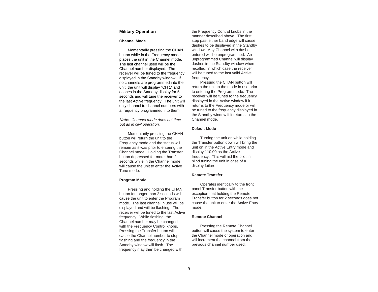# **Military Operation**

#### **Channel Mode**

Momentarily pressing the CHAN button while in the Frequency mode places the unit in the Channel mode. The last channel used will be the Channel number displayed. The receiver will be tuned to the frequency displayed in the Standby window. If no channels are programmed into the unit, the unit will display "CH 1" and dashes in the Standby display for 5 seconds and will tune the receiver to the last Active frequency. The unit will only channel to channel numbers with a frequency programmed into them.

**Note:** Channel mode does not time out as in civil operation.

Momentarily pressing the CHAN button will return the unit to the Frequency mode and the status will remain as it was prior to entering the Channel mode. Holding the Transfer button depressed for more than 2 seconds while in the Channel mode will cause the unit to enter the Active Tune mode.

#### **Program Mode**

Pressing and holding the CHAN button for longer than 2 seconds will cause the unit to enter the Program mode. The last channel in use will be displayed and will be flashing. The receiver will be tuned to the last Active frequency. While flashing, the Channel number may be changed with the Frequency Control knobs. Pressing the Transfer button will cause the Channel number to stop flashing and the frequency in the Standby window will flash. The frequency may then be changed with

the Frequency Control knobs in the manner described above. The first step past either band edge will cause dashes to be displayed in the Standby window. Any Channel with dashes entered will be unprogrammed. An unprogrammed Channel will display dashes in the Standby window when recalled, in which case the receiver will be tuned to the last valid Active frequency.

Pressing the CHAN button will return the unit to the mode in use prior to entering the Program mode. The receiver will be tuned to the frequency displayed in the Active window if it returns to the Frequency mode or will be tuned to the frequency displayed in the Standby window if it returns to the Channel mode.

#### **Default Mode**

Turning the unit on while holding the Transfer button down will bring the unit on in the Active Entry mode and display 110.00 as the Active frequency. This will aid the pilot in blind tuning the unit in case of a display failure.

#### **Remote Transfer**

Operates identically to the front panel Transfer button with the exception that holding the Remote Transfer button for 2 seconds does not cause the unit to enter the Active Entry mode.

#### **Remote Channel**

Pressing the Remote Channel button will cause the system to enter the Channel mode of operation and will increment the channel from the previous channel number used.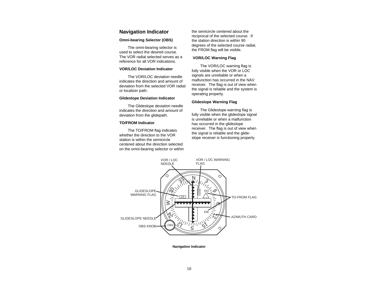# <span id="page-10-0"></span>**Navigation Indicator**

# **Omni-bearing Selector (OBS)**

The omni-bearing selector is used to select the desired course. The VOR radial selected serves as a reference for all VOR indications.

# **VOR/LOC Deviation Indicator**

The VOR/LOC deviation needle indicates the direction and amount of deviation from the selected VOR radial or localizer path.

#### **Glideslope Deviation Indicator**

The Glideslope deviation needle indicates the direction and amount of deviation from the glidepath.

## **TO/FROM Indicator**

The TO/FROM flag indicates whether the direction to the VOR station is within the semicircle centered about the direction selected on the omni-bearing selector or within the semicircle centered about the reciprocal of the selected course. If the station direction is within 90 degrees of the selected course radial, the FROM flag will be visible.

## **VOR/LOC Warning Flag**

The VOR/LOC warning flag is fully visible when the VOR or LOC signals are unreliable or when a malfunction has occurred in the NAV receiver. The flag is out of view when the signal is reliable and the system is operating properly.

#### **Glideslope Warning Flag**

The Glideslope warning flag is fully visible when the glideslope signal is unreliable or when a malfunction has occurred in the glideslope receiver. The flag is out of view when the signal is reliable and the glideslope receiver is functioning properly.



**Navigation Indicator**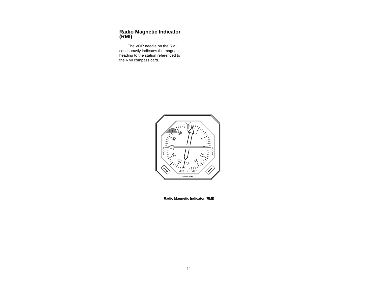# <span id="page-11-0"></span>**Radio Magnetic Indicator (RMI)**

The VOR needle on the RMI continuously indicates the magnetic heading to the station referenced to the RMI compass card.



**Radio Magnetic Indicator (RMI)**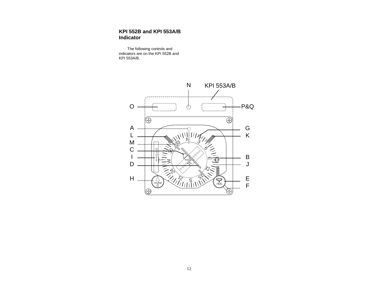# <span id="page-12-0"></span>**KPI 552B and KPI 553A/B Indicator**

The following controls and indicators are on the KPI 552B and KPI 553A/B.

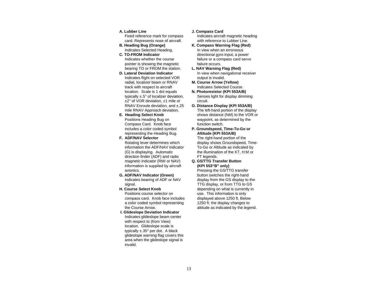# **A. Lubber Line**

Fixed reference mark for compass card. Represents nose of aircraft.

- **B. Heading Bug (Orange)** Indicates Selected Heading.
- **C. TO-FROM Indicator** Indicates whether the course pointer is showing the magnetic bearing TO or FROM the station.
- **D. Lateral Deviation Indicator** Indicates flight on selected VOR radial, localizer beam or RNAV track with respect to aircraft location. Scale is 1 dot equals typically ±.5° of localizer deviation, ±2° of VOR deviation, ±1 mile or RNAV Enroute deviation, and ±.25 mile RNAV Approach deviation.
- **E. Heading Select Knob** Positions Heading Bug on Compass Card. Knob face includes a color coded symbol representing the Heading Bug.

# **F. ADF/NAV Selector**

Rotating lever determines which information the ADF/NAV indicator (G) is displaying. Automatic direction finder (ADF) and radio magnetic indicator (RMI or NAV) information is supplied by aircraft avionics.

- **G. ADF/NAV Indicator (Green)** Indicates bearing of ADF or NAV signal.
- **H. Course Select Knob**

Positions course selector on compass card. Knob face includes a color coded symbol representing the Course Arrow.

**I. Glideslope Deviation Indicator** Indicates glideslope beam center with respect to (from View) location. Glideslope scale is typically ±.35° per dot. A black glideslope warning flag covers this area when the glideslope signal is invalid.

# **J. Compass Card**

Indicates aircraft magnetic heading with reference to Lubber Line.

- **K. Compass Warning Flag (Red)** In view when an erroneous directional gyro input, a power failure or a compass card servo failure occurs.
- **L. NAV Warning Flag (Red)** In view when navigational receiver output is invalid.
- **M. Course Arrow (Yellow)** Indicates Selected Course.
- **N. Photoresistor (KPI 553A/B)** Senses light for display dimming circuit.
- **O. Distance Display (KPI 553A/B)** The left-hand portion of the display shows distance (NM) to the VOR or waypoint, as determined by the function switch.
- **P. Groundspeed, Time-To-Go or Altitude (KPI 553A/B)** The right-hand portion of the

display shows Groundspeed, Time-To-Go or Altitude as indicated by the illumination of the KT, H:M or FT legends.

**Q. GS/TTG Transfer Button (KPI 553"B" only)** Pressing the GS/TTG transfer

button switches the right-hand display from the GS display to the TTG display, or from TTG to GS depending on what is currently in use. This information is only displayed above 1250 ft. Below 1250 ft. the display changes to altitude as indicated by the legend.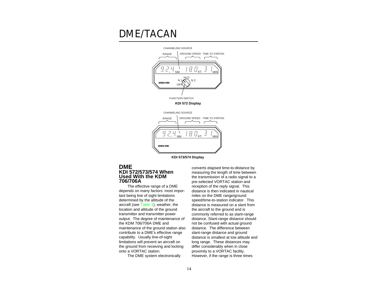# <span id="page-14-0"></span>DME/TACAN



**KDI 573/574 Display**

# **DME KDI 572/573/574 When Used With the KDM 706/706A**

The effective range of a DME depends on many factors: most important being line of sight limitations determined by the altitude of the aircraft (se[e Table 1\)](#page-16-0), weather, the location and altitude of the ground transmitter and transmitter power output. The degree of maintenance of the KDM 706/706A DME and maintenance of the ground station also contribute to a DME's effective range capability. Usually line-of-sight limitations will prevent an aircraft on the ground from receiving and locking onto a VORTAC station.

The DME system electronically

converts elapsed time-to-distance by measuring the length of time between the transmission of a radio signal to a pre-selected VORTAC station and reception of the reply signal. This distance is then indicated in nautical miles on the DME range/ground speed/time-to-station indicator. This distance is measured on a slant from the aircraft to the ground and is commonly referred to as slant-range distance. Slant-range distance should not be confused with actual ground distance. The difference between slant-range distance and ground distance is smallest at low altitude and long range. These distances may differ considerably when in close proximity to a VORTAC facility. However, if the range is three times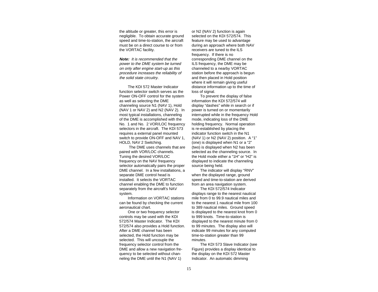the altitude or greater, this error is negligible. To obtain accurate ground speed and time-to-station, the aircraft must be on a direct course to or from the VORTAC facility.

**Note:** It is recommended that the power to the DME system be turned on only after engine start-up as this procedure increases the reliability of the solid state circuitry.

The KDI 572 Master Indicator function selector switch serves as the Power ON-OFF control for the system as well as selecting the DME channeling source N1 (NAV 1), Hold (NAV 1 or NAV 2) and N2 (NAV 2). In most typical installations, channeling of the DME is accomplished with the No. 1 and No. 2 VOR/LOC frequency selectors in the aircraft. The KDI 573 requires a external panel mounted switch to provide ON-OFF and NAV 1, HOLD, NAV 2 Switching.

The DME uses channels that are paired with VOR/LOC channels. Tuning the desired VOR/LOC frequency on the NAV frequency selector automatically pairs the proper DME channel. In a few installations, a separate DME control head is installed. It selects the VORTAC channel enabling the DME to function separately from the aircraft's NAV system.

Information on VORTAC stations can be found by checking the current aeronautical chart.

One or two frequency selector controls may be used with the KDI 572/574 Master Indicator. The KDI 572/574 also provides a Hold function. After a DME channel has been selected, the Hold function may be selected. This will uncouple the frequency selector control from the DME and allow a new navigation frequency to be selected without channeling the DME until the N1 (NAV 1)

or N2 (NAV 2) function is again selected on the KDI 572/574. This feature may be used to advantage during an approach where both NAV receivers are tuned to the ILS frequency. If there is no corresponding DME channel on the ILS frequency, the DME may be channeled to a nearby VORTAC station before the approach is begun and then placed in Hold position where it will remain giving useful distance information up to the time of loss of signal.

To prevent the display of false information the KDI 572/574 will display "dashes" while in search or if power is turned on or momentarily interrupted while in the frequency Hold mode, indicating loss of the DME holding frequency. Normal operation is re-established by placing the indicator function switch in the N1 (NAV 1) or N2 (NAV 2) position. A "1" (one) is displayed when N1 or a "2" (two) is displayed when N2 has been selected as the channeling source. In the Hold mode either a "1H" or "H2" is displayed to indicate the channeling source being held.

The indicator will display "RNV" when the displayed range, ground speed and time-to-station are derived from an area navigation system.

The KDI 572/574 Indicator displays range to the nearest nautical mile from 0 to 99.9 nautical miles and to the nearest 1 nautical mile from 100 to 389 nautical miles. Ground speed is displayed to the nearest knot from 0 to 999 knots. Time-to-station is displayed to the nearest minute from 0 to 99 minutes. The display also will indicate 99 minutes for any computed time-to-station greater than 99 minutes.

The KDI 573 Slave Indicator (see Figure) provides a display identical to the display on the KDI 572 Master Indicator. An automatic dimming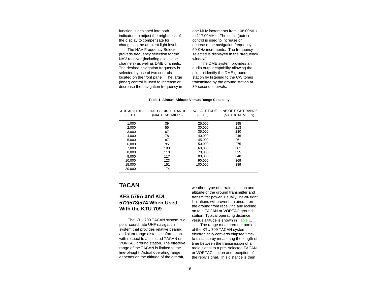<span id="page-16-0"></span>function is designed into both indicators to adjust the brightness of the display to compensate for changes in the ambient light level.

The NAV Frequency Selector proveds frequency selection for the NAV receiver (including glideslope channels) as well as DME channels. The desired navigation frequency is selected by use of two controls located on the front panel. The large (inner) control is used to increase or decrease the navigation frequency in one MHz increments from 108.00MHz to 117.00MHz. The small (outer) control is used to increase or decrease the navigation frequency in 50 KHz increments. The frequency selected is displayed in the "frequency window".

The DME system provides an audio output capability allowing the pilot to identify the DME ground station by listening to the CW tones transmitted by the ground station at 30-second intervals.

| AGL ALTITUDE<br>(FEET) | LINE OF SIGHT RANGE<br>(NAUTICAL MILES) | (FEET)  | AGL ALTITUDE LINE OF SIGHT RANGE<br>(NAUTICAL MILES) |
|------------------------|-----------------------------------------|---------|------------------------------------------------------|
| 1.000                  | 39                                      | 25,000  | 195                                                  |
| 2,000                  | 55                                      | 30.000  | 213                                                  |
| 3.000                  | 67                                      | 35.000  | 230                                                  |
| 4.000                  | 78                                      | 40.000  | 246                                                  |
| 5,000                  | 87                                      | 45,000  | 261                                                  |
| 6.000                  | 95                                      | 50.000  | 275                                                  |
| 7.000                  | 103                                     | 60.000  | 301                                                  |
| 8.000                  | 110                                     | 70,000  | 325                                                  |
| 9.000                  | 117                                     | 80.000  | 348                                                  |
| 10,000                 | 123                                     | 90.000  | 369                                                  |
| 15.000                 | 151                                     | 100.000 | 389                                                  |
| 20,000                 | 174                                     |         |                                                      |

#### **Table 1 Aircraft Altitude Versus Range Capability**

# **TACAN**

# **KFS 579A and KDI 572/573/574 When Used With the KTU 709**

The KTU 709 TACAN system is a polar coordinate UHF navigation system that provides relative bearing and slant-range distance information with respect to a selected TACAN or VORTAC ground station. The effective range of the TACAN is limited to the line-of-sight. Actual operating range depends on the altitude of the aircraft,

weather, type of terrain, location and altitude of the ground transmitter and transmitter power. Usually line-of-sight limitations will prevent an aircraft on the ground from receiving and locking on to a TACAN or VORTAC ground station. Typical operating distance versus altitude is shown in Table 1.

The range measurement portion of the KTU 709 TACAN system electronically converts elapsed timeto-distance by measuring the length of time between the transmission of a radio signal to a pre- selected TACAN or VORTAC station and reception of the reply signal. This distance is then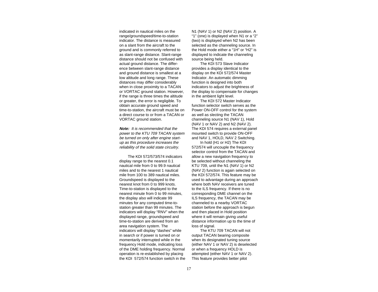indicated in nautical miles on the range/groundspeed/time-to-station indicator. The distance is measured on a slant from the aircraft to the ground and is commonly referred to as slant-range distance. Slant-range distance should not be confused with actual ground distance. The difference between slant-range distance and ground distance is smallest at a low altitude and long range. These distances may differ considerably when in close proximity to a TACAN or VORTAC ground station. However, if the range is three times the altitude or greater, the error is negligible. To obtain accurate ground speed and time-to-station, the aircraft must be on a direct course to or from a TACAN or VORTAC ground station.

**Note:** It is recommended that the power to the KTU 709 TACAN system be turned on only after engine startup as this procedure increases the reliability of the solid state circuitry.

The KDI 572/573/574 indicators display range to the nearest 0.1 nautical mile from 0 to 99.9 nautical miles and to the nearest 1 nautical mile from 100 to 389 nautical miles. Groundspeed is displayed to the nearest knot from 0 to 999 knots. Time-to-station is displayed to the nearest minute from 0 to 99 minutes, the display also will indicate 99 minutes for any computed time-tostation greater than 99 minutes. The indicators will display "RNV" when the displayed range, groundspeed and time-to-station are derived from an area navigation system. The indicators will display "dashes" while in search or if power is turned on or momentarily interrupted while in the frequency Hold mode, indicating loss of the DME holding frequency. Normal operation is re-established by placing the KDI 572/574 function switch in the N1 (NAV 1) or N2 (NAV 2) position. A "1" (one) is displayed when N1 or a "2" (two) is displayed when N2 has been selected as the channeling source. In the Hold mode either a "1H" or "H2" is displayed to indicate the channeling source being held.

The KDI 573 Slave Indicator provides a display identical to the display on the KDI 572/574 Master Indicator. An automatic dimming function is designed into both indicators to adjust the brightness of the display to compensate for changes in the ambient light level.

The KDI 572 Master Indicator function selector switch serves as the Power ON-OFF control for the system as well as slecting the TACAN channeling source N1 (NAV 1), Hold (NAV 1 or NAV 2) and N2 (NAV 2). The KDI 574 requires a external panel mounted switch to provide ON-OFF and NAV 1, HOLD, NAV 2 Switching.

In hold (H1 or H2) The KDI 572/574 will uncouple the frequency selector control from the TACAN and allow a new navigation frequency to be selected without channeling the KTU 709, until the N1 (NAV 1) or N2 (NAV 2) function is again selected on the KDI 572/574. This feature may be used to advantage during an approach where both NAV receivers are tuned to the ILS frequency. If there is no corresponding DME channel on the ILS frequency, the TACAN may be channeled to a nearby VORTAC station before the approach is begun and then placed in Hold position where it will remain giving useful distance information up to the time of loss of signal.

The KTU 709 TACAN will not output TACAN bearing composite when its designated tuning source (either NAV 1 or NAV 2) is deselected or when a frequency HOLD is attempted (either NAV 1 or NAV 2). This feature provides better pilot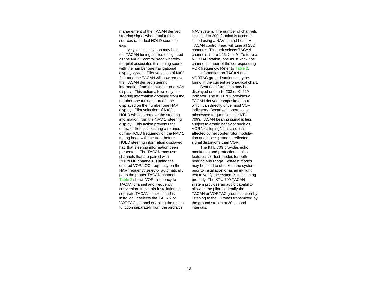management of the TACAN derived steering signal when dual tuning sources (and dual HOLD sources) exist.

A typical installation may have the TACAN tuning source designated as the NAV 1 control head whereby the pilot associates this tuning source with the number one navigational display system. Pilot selection of NAV 2 to tune the TACAN will now remove the TACAN derived steering information from the number one NAV display. This action allows only the steering information obtained from the number one tuning source to be displayed on the number one NAV display. Pilot selection of NAV 1 HOLD will also remove the steering information from the NAV 1 steering display. This action prevents the operator from associating a retunedduring-HOLD frequency on the NAV 1 tuning head with the tune-before-HOLD steering information displayed had that steering information been presented. The TACAN may use channels that are paired with VOR/LOC channels. Tuning the desired VOR/LOC frequency on the NAV frequency selector automatically pairs the proper TACAN channel. [Table 2](#page-22-0) shows VOR frequency to TACAN channel and frequency conversion. In certain installations, a separate TACAN control head is installed. It selects the TACAN or VORTAC channel enabling the unit to function separately from the aircraft's

NAV system. The number of channels is limited to 200 if tuning is accomplished using a NAV control head. A TACAN control head will tune all 252 channels. This unit selects TACAN channels 1 thru 126, X or Y. To tune a VORTAC station, one must know the channel number of the corresponding VOR frequency. Refer to [Table 2.](#page-22-0) 

Information on TACAN and VORTAC ground stations may be found in the current aeronautical chart.

Bearing information may be displayed on the KI 203 or KI 229 indicator. The KTU 709 provides a TACAN derived composite output which can directly drive most VOR indicators. Because it operates at microwave frequencies, the KTU 709's TACAN bearing signal is less subject to erratic behavior such as VOR "scalloping". It is also less affected by helicopter rotor modulation and is less prone to reflected signal distortions than VOR.

The KTU 709 provides echo monitoring and protection. It also features self-test modes for both bearing and range. Self-test modes may be used to checkout the system prior to installation or as an in-flight test to verify the system is functioning properly. The KTU 709 TACAN system provides an audio capability allowing the pilot to identify the TACAN or VORTAC ground station by listening to the ID tones transmitted by the ground station at 30-second intervals.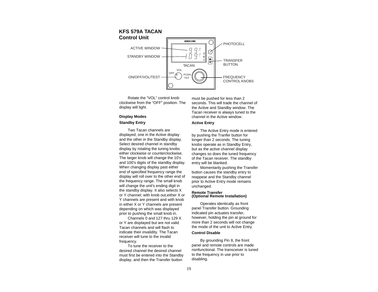# <span id="page-19-0"></span>**KFS 579A TACAN Control Unit**



Rotate the "VOL" control knob clockwise from the "OFF" position. The display will light.

# **Display Modes Standby Entry**

Two Tacan channels are displayed; one in the Active display and the other in the Standby display. Select desired channel in standby display by rotating the tuning knobs either clockwise or counterclockwise. The larger knob will change the 10's and 100's digits of the standby display. When changing display past either end of specified frequency range the display will roll over to the other end of the frequency range. The small knob will change the unit's ending digit in the standby display. It also selects X or Y channel; with knob out,either X or Y channels are present and with knob in either X or Y channels are present depending on which was displayed prior to pushing the small knob in.

Channels 0 and 127 thru 129 X or Y are displayed but are not valid Tacan channels and will flash to indicate their invalidity. The Tacan receiver will tune to the invalid frequency.

To tune the receiver to the desired channel the desired channel must first be entered into the Standby display, and then the Transfer button

must be pushed for less than 2 seconds. This will trade the channel of the Active and Standby window. The Tacan receiver is always tuned to the channel in the Active window.

# **Active Entry**

The Active Entry mode is entered by pushing the Tranfer button for longer than 2 seconds. The tuning knobs operate as in Standby Entry, but as the active channel display changes so does the tuned frequency of the Tacan receiver. The standby entry will be blanked.

Momentarily pushing the Transfer button causes the standby entry to reappear and the Standby channel prior to Active Entry mode remains unchanged.

#### **Remote Transfer (Optional Remote Installation)**

Operates identically as front panel Transfer button. Grounding indicated pin actuates transfer, however, holding the pin at ground for more than 2 seconds will not change the mode of the unit to Active Entry.

## **Control Disable**

By grounding Pin 8, the front panel and remote controls are made nonfunctional. The transceiver is tuned to the frequency in use prior to disabling.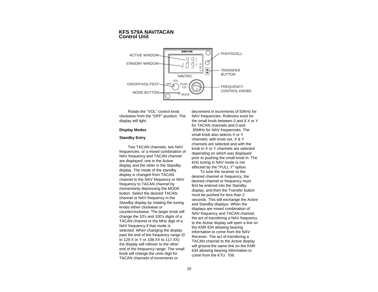# <span id="page-20-0"></span>**KFS 579A NAV/TACAN Control Unit**



Rotate the "VOL" control knob clockwise from the "OFF" position. The display will light.

# **Display Modes**

# **Standby Entry**

Two TACAN channels, two NAV frequencies, or a mixed combination of NAV frequency and TACAN channel are displayed; one in the Active display and the other in the Standby display. The mode of the standby display is changed from TACAN channel to the NAV frequency or NAV frequency to TACAN channel by momentarily depressing the MODE button. Select the desired TACAN channel or NAV frequency in the Standby display by rotating the tuning knobs either clockwise or counterclockwise. The larger knob will change the 10's and 100's digits of a TACAN channel or the MHz digit of a NAV frequency if that mode is selected. When changing the display past the end of the frequency range (0 to 129 X or Y or 108.XX to 117.XX) the display will rollover to the other end of the frequency range. The small knob will change the units digit for TACAN channels of increments or

decrement in increments of 50KHz for NAV frequencies. Rollovers exist for the small knob between 0 and 9 X or Y for TACAN channels and 0 and .95MHz for NAV frequencies. The small knob also selects X or Y channels; with knob out, X & Y channels are selected and with the knob in X or Y channels are selected depending on which was displayed prior to pushing the small knob in. The KHz tuning in NAV mode is not affected by the "PULL Y" option.

To tune the receiver to the desired channel or frequency, the desired channel or frequency must first be entered into the Standby display, and then the Transfer button must be pushed for less than 2 seconds. This will exchange the Acitve and Standby displays. When the displays are mixed combination of NAV frequency and TACAN channel, the act of transfering a NAV frequency to the Active display will open a line on the KNR 634 allowing bearing information to come from the NAV Receiver. The act of transfering a TACAN channel to the Active display will ground the same line on the KNR 634 allowing bearing information to come from the KTU 709.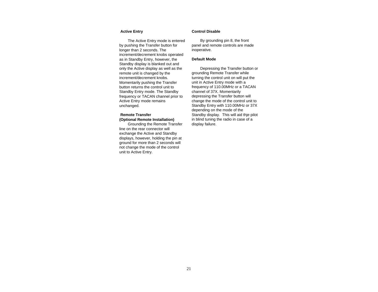## **Active Entry**

The Active Entry mode is entered by pushing the Transfer button for longer than 2 seconds. The increment/decrement knobs operated as in Standby Entry, however, the Standby display is blanked out and only the Active display as well as the remote unit is changed by the increment/decrement knobs. Momentarily pushing the Transfer button returns the control unit to Standby Entry mode. The Standby frequency or TACAN channel prior to Active Entry mode remains unchanged.

# **Remote Transfer (Optional Remote Installation)**

Grounding the Remote Transfer line on the rear connector will exchange the Active and Standby displays, however, holding the pin at ground for more than 2 seconds will not change the mode of the control unit to Active Entry.

# **Control Disable**

By grounding pin 8, the front panel and remote controls are made inoperative.

#### **Default Mode**

Depressing the Transfer button or grounding Remote Transfer while turning the control unit on will put the unit in Active Entry mode with a frequency of 110.00MHz or a TACAN channel of 37X. Momentarily depressing the Transfer button will change the mode of the control unit to Standby Entry with 110.00MHz or 37X depending on the mode of the Standby display. This will aid thje pilot in blind tuning the radio in case of a display failure.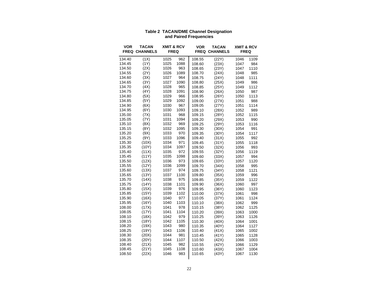<span id="page-22-0"></span>

| VOR              | TACAN<br><b>FREQ CHANNELS</b> | <b>XMIT &amp; RCV</b><br><b>FREQ</b> |             | VOR    | TACAN<br><b>FREQ CHANNELS</b> | <b>XMIT &amp; RCV</b><br><b>FREQ</b> |      |
|------------------|-------------------------------|--------------------------------------|-------------|--------|-------------------------------|--------------------------------------|------|
| 134.40           | (1X)                          | 1025                                 | 962         | 108.55 | (22Y)                         | 1046                                 | 1109 |
| 134.45           | (1Y)                          | 1025                                 | 1088        | 108.60 | (23X)                         | 1047                                 | 984  |
| 134.50           | (2X)                          | 1026                                 | 963         | 108.65 | (23Y)                         | 1047                                 | 1110 |
| 134.55           | (2Y)                          | 1026                                 | 1089        | 108.70 | (24X)                         | 1048                                 | 985  |
| 134.60           | (3X)                          | 1027                                 | 964         | 108.75 | (24Y)                         | 1048                                 | 1111 |
| 134.65           | (3Y)                          | 1027                                 | 1090        | 108.80 | (25X)                         | 1049                                 | 986  |
| 134.70           | (4X)                          | 1028                                 | 965         | 108.85 | (25Y)                         | 1049                                 | 1112 |
| 134.75           | (4Y)                          | 1028                                 | 1091        | 108.90 | (26X)                         | 1050                                 | 987  |
| 134.80           | (5X)                          | 1029                                 | 966         | 108.95 | (26Y)                         | 1050                                 | 1113 |
| 134.85           | (5Y)                          | 1029                                 | 1092        | 109.00 | (27X)                         | 1051                                 | 988  |
| 134.90           | (6X)                          | 1030                                 | 967         | 109.05 | (27Y)                         | 1051                                 | 1114 |
| 134.95           | (6Y)                          | 1030                                 | 1093        | 109.10 | (28X)                         | 1052                                 | 989  |
| 135.00           | (7X)                          | 1031                                 | 968         | 109.15 | (28Y)                         | 1052                                 | 1115 |
| 135.05           | (7Y)                          | 1031                                 | 1094        | 109.20 | (29X)                         | 1053                                 | 990  |
| 135.10           | (8X)                          | 1032                                 | 969         | 109.25 | (29Y)                         | 1053                                 | 1116 |
| 135.15           | (8Y)                          | 1032                                 | 1095        | 109.30 | (30X)                         | 1054                                 | 991  |
| 135.20           | (9X)                          | 1033                                 | 970         | 109.35 | (30Y)                         | 1054                                 | 1117 |
| 135.25           | (9Y)                          | 1033                                 | 1096        | 109.40 | (31X)                         | 1055                                 | 992  |
| 135.30           | (10X)                         | 1034                                 | 971         | 109.45 | (31Y)                         | 1055                                 | 1118 |
| 135.35           | (10Y)                         | 1034                                 | 1097        | 109.50 | (32X)                         | 1056                                 | 993  |
| 135.40           | (11X)                         | 1035                                 | 972         | 109.55 | (32Y)                         | 1056                                 | 1119 |
| 135.45           | (11Y)                         | 1035                                 | 1098        | 109.60 | (33X)                         | 1057                                 | 994  |
| 135.50           | (12X)                         | 1036                                 | 973         | 109.65 | (33Y)                         | 1057                                 | 1120 |
| 135.55           | (12Y)                         | 1036                                 | 1099        | 109.70 | (34X)                         | 1058                                 | 995  |
| 135.60           | (13X)                         | 1037                                 | 974         | 109.75 | (34Y)                         | 1058                                 | 1121 |
| 135.65           | (13Y)                         | 1037                                 | 1100        | 109.80 | (35X)                         | 1059                                 | 996  |
| 135.70           | (14X)                         | 1038                                 | 975         | 109.85 | (35Y)                         | 1059                                 | 1122 |
| 135.75           | (14Y)                         | 1038                                 | 1101        | 109.90 | (36X)                         | 1060                                 | 997  |
| 135.80           | (15X)                         | 1039                                 | 976         | 109.95 | (36Y)                         | 1060                                 | 1123 |
| 135.85           | (15Y)                         | 1039                                 | 1102        | 110.00 | (37X)                         | 1061                                 | 998  |
| 135.90           | (16X)                         | 1040                                 | 977         | 110.05 | (37Y)                         | 1061                                 | 1124 |
| 135.95           | (16Y)                         | 1040                                 | 1103        | 110.10 | (38X)                         | 1062                                 | 999  |
| 108.00           | (17X)                         | 1041                                 | 978         | 110.15 | (38Y)                         | 1062                                 | 1125 |
| 108.05           | (17Y)                         | 1041                                 | 1104        | 110.20 | (39X)                         | 1063                                 | 1000 |
| 108.10           | (18X)                         | 1042                                 | 979         | 110.25 | (39Y)                         | 1063                                 | 1126 |
| 108.15           | (18Y)                         | 1042                                 | 1105        | 110.30 | (40X)                         | 1064                                 | 1001 |
| 108.20           | (19X)                         | 1043                                 | 980         | 110.35 | (40Y)                         | 1064                                 | 1127 |
| 108.25           | (19Y)                         | 1043                                 | 1106        | 110.40 | (41X)                         | 1065                                 | 1002 |
| 108.30           | (20X)                         | 1044                                 | 981         | 110.45 | (41Y)                         | 1065                                 | 1128 |
| 108.35           | (20Y)                         | 1044                                 | 1107        | 110.50 | (42X)                         | 1066                                 | 1003 |
| 108.40           | (21X)<br>(21Y)                | 1045<br>1045                         | 982<br>1108 | 110.55 | (42Y)                         | 1066                                 | 1129 |
| 108.45<br>108.50 | (22X)                         | 1046                                 | 983         | 110.60 | (43X)<br>(43Y)                | 1067                                 | 1004 |
|                  |                               |                                      |             | 110.65 |                               | 1067                                 | 1130 |

# **Table 2 TACAN/DME Channel Designation and Paired Frequencies**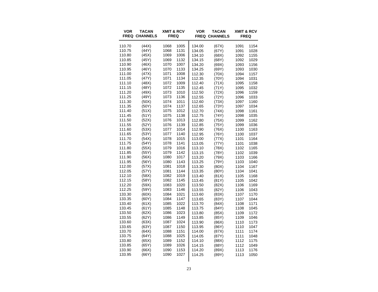| <b>VOR</b> | <b>TACAN</b><br><b>FREQ CHANNELS</b> | <b>XMIT &amp; RCV</b><br><b>FREQ</b> |      | <b>VOR</b> | <b>TACAN</b><br><b>FREQ CHANNELS</b> | <b>XMIT &amp; RCV</b><br><b>FREQ</b> |      |
|------------|--------------------------------------|--------------------------------------|------|------------|--------------------------------------|--------------------------------------|------|
| 110.70     | (44X)                                | 1068                                 | 1005 | 134.00     | (67X)                                | 1091                                 | 1154 |
| 110.75     | (44Y)                                | 1068                                 | 1131 | 134.05     | (67Y)                                | 1091                                 | 1028 |
| 110.80     | (45X)                                | 1069                                 | 1006 | 134.10     | (68X)                                | 1092                                 | 1155 |
| 110.85     | (45Y)                                | 1069                                 | 1132 | 134.15     | (68Y)                                | 1092                                 | 1029 |
| 110.90     | (46X)                                | 1070                                 | 1007 | 134.20     | (69X)                                | 1093                                 | 1156 |
| 110.95     | (46Y)                                | 1070                                 | 1133 | 134.25     | (69Y)                                | 1093                                 | 1030 |
| 111.00     | (47X)                                | 1071                                 | 1008 | 112.30     | (70X)                                | 1094                                 | 1157 |
| 111.05     | (47Y)                                | 1071                                 | 1134 | 112.35     | (70Y)                                | 1094                                 | 1031 |
| 111.10     | (48X)                                | 1072                                 | 1009 | 112.40     | (71X)                                | 1095                                 | 1158 |
| 111.15     | (48Y)                                | 1072                                 | 1135 | 112.45     | (71Y)                                | 1095                                 | 1032 |
| 111.20     | (49X)                                | 1073                                 | 1010 | 112.50     | (72X)                                | 1096                                 | 1159 |
| 111.25     | (49Y)                                | 1073                                 | 1136 | 112.55     | (72Y)                                | 1096                                 | 1033 |
| 111.30     | (50X)                                | 1074                                 | 1011 | 112.60     | (73X)                                | 1097                                 | 1160 |
| 111.35     | (50Y)                                | 1074                                 | 1137 | 112.65     | (73Y)                                | 1097                                 | 1034 |
| 111.40     | (51X)                                | 1075                                 | 1012 | 112.70     | (74X)                                | 1098                                 | 1161 |
| 111.45     | (51Y)                                | 1075                                 | 1138 | 112.75     | (74Y)                                | 1098                                 | 1035 |
| 111.50     | (52X)                                | 1076                                 | 1013 | 112.80     | (75X)                                | 1099                                 | 1162 |
| 111.55     | (52Y)                                | 1076                                 | 1139 | 112.85     | (75Y)                                | 1099                                 | 1036 |
| 111.60     | (53X)                                | 1077                                 | 1014 | 112.90     | (76X)                                | 1100                                 | 1163 |
| 111.65     | (53Y)                                | 1077                                 | 1140 | 112.95     | (76Y)                                | 1100                                 | 1037 |
| 111.70     | (54X)                                | 1078                                 | 1015 | 113.00     | (77X)                                | 1101                                 | 1164 |
| 111.75     | (54Y)                                | 1078                                 | 1141 | 113.05     | (77Y)                                | 1101                                 | 1038 |
| 111.80     | (55X)                                | 1079                                 | 1016 | 113.10     | (78X)                                | 1102                                 | 1165 |
| 111.85     | (55Y)                                | 1079                                 | 1142 | 113.15     | (78Y)                                | 1102                                 | 1039 |
| 111.90     | (56X)                                | 1080                                 | 1017 | 113.20     | (79X)                                | 1103                                 | 1166 |
| 111.95     | (56Y)                                | 1080                                 | 1143 | 113.25     | (79Y)                                | 1103                                 | 1040 |
| 112.00     | (57X)                                | 1081                                 | 1018 | 113.30     | (80X)                                | 1104                                 | 1167 |
| 112.05     | (57Y)                                | 1081                                 | 1144 | 113.35     | (80Y)                                | 1104                                 | 1041 |
| 112.10     | (58X)                                | 1082                                 | 1019 | 113.40     | (81X)                                | 1105                                 | 1168 |
| 112.15     | (58Y)                                | 1082                                 | 1145 | 113.45     | (81Y)                                | 1105                                 | 1042 |
| 112.20     | (59X)                                | 1083                                 | 1020 | 113.50     | (82X)                                | 1106                                 | 1169 |
| 112.25     | (59Y)                                | 1083                                 | 1146 | 113.55     | (82Y)                                | 1106                                 | 1043 |
| 133.30     | (60X)                                | 1084                                 | 1021 | 113.60     | (83X)                                | 1107                                 | 1170 |
| 133.35     | (60Y)                                | 1084                                 | 1147 | 113.65     | (83Y)                                | 1107                                 | 1044 |
| 133.40     | (61X)                                | 1085                                 | 1022 | 113.70     | (84X)                                | 1108                                 | 1171 |
| 133.45     | (61Y)                                | 1085                                 | 1148 | 113.75     | (84Y)                                | 1108                                 | 1045 |
| 133.50     | (62X)                                | 1086                                 | 1023 | 113.80     | (85X)                                | 1109                                 | 1172 |
| 133.55     | (62Y)                                | 1086                                 | 1149 | 113.85     | (85Y)                                | 1109                                 | 1046 |
| 133.60     | (63X)                                | 1087                                 | 1024 | 113.90     | (86X)                                | 1110                                 | 1173 |
| 133.65     | (63Y)                                | 1087                                 | 1150 | 113.95     | (86Y)                                | 1110                                 | 1047 |
| 133.70     | (64X)                                | 1088                                 | 1151 | 114.00     | (87X)                                | 1111                                 | 1174 |
| 133.75     | (64Y)                                | 1088                                 | 1025 | 114.05     | (87Y)                                | 1111                                 | 1048 |
| 133.80     | (65X)                                | 1089                                 | 1152 | 114.10     | (88X)                                | 1112                                 | 1175 |
| 133.85     | (65Y)                                | 1089                                 | 1026 | 114.15     | (88Y)                                | 1112                                 | 1049 |
| 133.90     | (66X)                                | 1090                                 | 1153 | 114.20     | (89X)                                | 1113                                 | 1176 |
| 133.95     | (66Y)                                | 1090                                 | 1027 | 114.25     | (89Y)                                | 1113                                 | 1050 |
|            |                                      |                                      |      |            |                                      |                                      |      |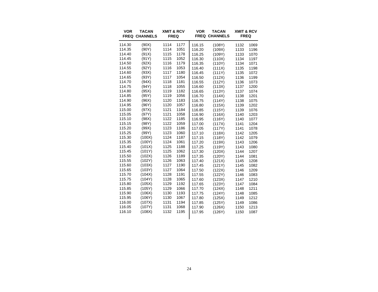| <b>VOR</b> | <b>TACAN</b><br><b>FREQ CHANNELS</b> | <b>XMIT &amp; RCV</b><br><b>FREQ</b> |      | <b>VOR</b> | <b>TACAN</b><br><b>FREQ CHANNELS</b> | <b>XMIT &amp; RCV</b><br><b>FREQ</b> |      |
|------------|--------------------------------------|--------------------------------------|------|------------|--------------------------------------|--------------------------------------|------|
| 114.30     | (90X)                                | 1114                                 | 1177 | 116.15     | (108Y)                               | 1132                                 | 1069 |
| 114.35     | (90Y)                                | 1114                                 | 1051 | 116.20     | (109X)                               | 1133                                 | 1196 |
| 114.40     | (91X)                                | 1115                                 | 1178 | 116.25     | (109Y)                               | 1133                                 | 1070 |
| 114.45     | (91Y)                                | 1115                                 | 1052 | 116.30     | (110X)                               | 1134                                 | 1197 |
| 114.50     | (92X)                                | 1116                                 | 1179 | 116.35     | (110Y)                               | 1134                                 | 1071 |
| 114.55     | (92Y)                                | 1116                                 | 1053 | 116.40     | (111X)                               | 1135                                 | 1198 |
| 114.60     | (93X)                                | 1117                                 | 1180 | 116.45     | (111Y)                               | 1135                                 | 1072 |
| 114.65     | (93Y)                                | 1117                                 | 1054 | 116.50     | (112X)                               | 1136                                 | 1199 |
| 114.70     | (94X)                                | 1118                                 | 1181 | 116.55     | (112Y)                               | 1136                                 | 1073 |
| 114.75     | (94Y)                                | 1118                                 | 1055 | 116.60     | (113X)                               | 1137                                 | 1200 |
| 114.80     | (95X)                                | 1119                                 | 1182 | 116.65     | (113Y)                               | 1137                                 | 1074 |
| 114.85     | (95Y)                                | 1119                                 | 1056 | 116.70     | (114X)                               | 1138                                 | 1201 |
| 114.90     | (96X)                                | 1120                                 | 1183 | 116.75     | (114Y)                               | 1138                                 | 1075 |
| 114.95     | (96Y)                                | 1120                                 | 1057 | 116.80     | (115X)                               | 1139                                 | 1202 |
| 115.00     | (97X)                                | 1121                                 | 1184 | 116.85     | (115Y)                               | 1139                                 | 1076 |
| 115.05     | (97Y)                                | 1121                                 | 1058 | 116.90     | (116X)                               | 1140                                 | 1203 |
| 115.10     | (98X)                                | 1122                                 | 1185 | 116.95     | (116Y)                               | 1140                                 | 1077 |
| 115.15     | (98Y)                                | 1122                                 | 1059 | 117.00     | (117X)                               | 1141                                 | 1204 |
| 115.20     | (99X)                                | 1123                                 | 1186 | 117.05     | (117Y)                               | 1141                                 | 1078 |
| 115.25     | (99Y)                                | 1123                                 | 1060 | 117.10     | (118X)                               | 1142                                 | 1205 |
| 115.30     | (100X)                               | 1124                                 | 1187 | 117.15     | (118Y)                               | 1142                                 | 1079 |
| 115.35     | (100Y)                               | 1124                                 | 1061 | 117.20     | (119X)                               | 1143                                 | 1206 |
| 115.40     | (101X)                               | 1125                                 | 1188 | 117.25     | (119Y)                               | 1143                                 | 1080 |
| 115.45     | (101Y)                               | 1125                                 | 1062 | 117.30     | (120X)                               | 1144                                 | 1207 |
| 115.50     | (102X)                               | 1126                                 | 1189 | 117.35     | (120Y)                               | 1144                                 | 1081 |
| 115.55     | (102Y)                               | 1126                                 | 1063 | 117.40     | (121X)                               | 1145                                 | 1208 |
| 115.60     | (103X)                               | 1127                                 | 1190 | 117.45     | (121Y)                               | 1145                                 | 1082 |
| 115.65     | (103Y)                               | 1127                                 | 1064 | 117.50     | (122X)                               | 1146                                 | 1209 |
| 115.70     | (104X)                               | 1128                                 | 1191 | 117.55     | (122Y)                               | 1146                                 | 1083 |
| 115.75     | (104Y)                               | 1128                                 | 1065 | 117.60     | (123X)                               | 1147                                 | 1210 |
| 115.80     | (105X)                               | 1129                                 | 1192 | 117.65     | (123Y)                               | 1147                                 | 1084 |
| 115.85     | (105Y)                               | 1129                                 | 1066 | 117.70     | (124X)                               | 1148                                 | 1211 |
| 115.90     | (106X)                               | 1130                                 | 1193 | 117.75     | (124Y)                               | 1148                                 | 1085 |
| 115.95     | (106Y)                               | 1130                                 | 1067 | 117.80     | (125X)                               | 1149                                 | 1212 |
| 116.00     | (107X)                               | 1131                                 | 1194 | 117.85     | (125Y)                               | 1149                                 | 1086 |
| 116.05     | (107Y)                               | 1131                                 | 1068 | 117.90     | (126X)                               | 1150                                 | 1213 |
| 116.10     | (108X)                               | 1132                                 | 1195 | 117.95     | (126Y)                               | 1150                                 | 1087 |
|            |                                      |                                      |      |            |                                      |                                      |      |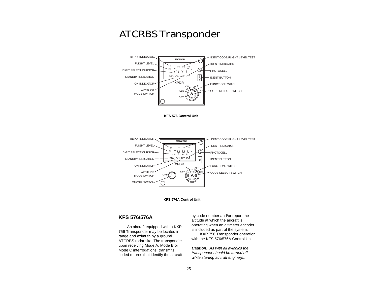# <span id="page-25-0"></span>ATCRBS Transponder



**KFS 576 Control Unit**





# **KFS 576/576A**

An aircraft equipped with a KXP 756 Transponder may be located in range and azimuth by a ground ATCRBS radar site. The transponder upon receiving Mode A, Mode B or Mode C interrogations, transmits coded returns that identify the aircraft by code number and/or report the altitude at which the aircraft is operating when an altimeter encoder is included as part of the system.

KXP 756 Transponder operation with the KFS 576/576A Control Unit

**Caution:** As with all avionics the transponder should be turned off while starting aircraft engine(s).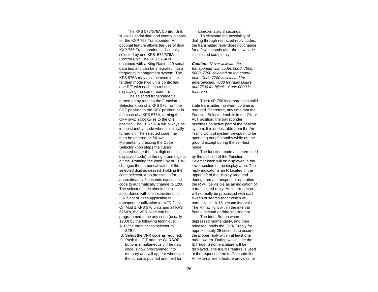The KFS 576/576A Control Unit, supplies serial data and control signals for the KXP 756 Transponder. An optional feature allows the use of dual KXP 756 Transponders individually selected by one KFS 576/576A Control Unit. The KFS 576A is equipped with a King Radio 429 serial data bus and can be integrated into a frequency management system. The KFS 576A may also be used in the tandem mode (two units controlling one R/T with each control unit displaying the same readout).

The selected transponder is turned on by rotating the Function Selector knob of a KFS 576 from the OFF position to the SBY position or in the case of a KFS 576A, turning the OFF switch clockwise to the ON position. The KFS 576A will always be in the standby mode when it is initially turned on. The selected code may then be entered as follows: Momentarily pressing the Code Selector knob steps the cursor (located under the first digit of the displayed code) to the right one digit at a time. Rotating the knob CW or CCW changes the numerical value of the selected digit as desired. Holding the code selector knob pressed in for approximately 3 seconds causes the code to automatically change to 1200. The selected code should be in accordance with the instructions for IFR flight or rules applicable to transponder utilization for VFR flight. On Mod 1 KFS 576 units and all KFS 576A's, the VFR code can be programmed to be any code (usually 1200) by the following technique:

- A. Place the function selector to **STBY**
- B. Select the VFR code as required.
- C. Push the IDT and the CURSOR buttons simultaneously. The new code is now programmed into memory and will appear whenever the cursor is pushed and held for

approximately 3 seconds. To eliminate the possibility of dialing through restricted reply codes, the transmitted reply does not change for a few seconds after the new code is selected completely.

**Caution:** Never activate the transponder with codes 0000, 7500, 5600, 7700 selected on the control unit. Code 7700 is selected for emergencies, 7600 for radio failure, and 7500 for hijack. Code 0000 is reserved.

The KXP 756 incorporates a solid state transmitter, no warm up time is required. Therefore, any time that the Function Selector knob is in the ON or ALT position, the transponder becomes an active part of the beacon system. It is undesirable from the Air Traffic Control system viewpoint to be operating out of standby while on the ground except during the self-test mode.

The function mode as determined by the position of the Function Selector knob will be displayed in the lower section of the display area. The reply indicator is an R located in the upper left of the display area and during normal transponder operation the R will be visible as an indication of a transmitted reply. An interrogation will normally be processed with each sweep of search radar which will normally be 10-15 second intervals. The R may light within the interval from a second or third interrogator.

The Ident Button when depressed momentarily, and then released, holds the IDENT reply for approximately 25 seconds to assure the proper reply within at least one radar sweep. During which time the IDT (ident) nomenclature will be displayed. The IDENT feature is used at the request of the traffic controller. An external ident feature provides for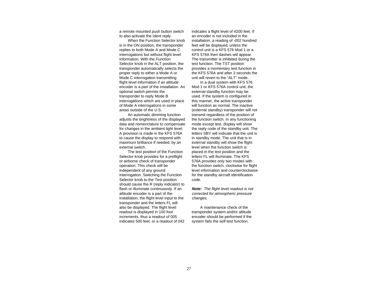a remote mounted push button switch to also activate the Ident reply.

When the Function Selector knob is in the ON position, the transponder replies to both Mode A and Mode C interrogations but without flight level information. With the Function Selector knob in the ALT position, the transponder automatically selects the proper reply to either a Mode A or Mode C interrogation transmitting flight level information if an altitude encoder is a part of the installation. An optional switch permits the transponder to reply Mode B interrogations which are used in place of Mode A interrogations in some areas outside of the U.S.

An automatic dimming function adjusts the brightness of the displayed data and nomenclature to compensate for changes in the ambient light level. A provision is made in the KFS 576A to cause the display to respond with maximum brilliance if needed, by an external switch.

The test position of the Function Selector knob provides for a preflight or airborne check of transponder operation. This check will be independent of any ground interrogation. Switching the Function Selector knob to the Test position should cause the R (reply indicator) to flash or illuminate continuously. If an altitude encoder is a part of the installation, the flight level input to the transponder and the letters FL will also be displayed. The flight level readout is displayed in 100 foot increments, thus a readout of 005 indicates 500 feet, or a readout of 042 indicates a flight level of 4200 feet. If an encoder is not included in the installation, a reading of -002 hundred feet will be displayed, unless the control unit is a KFS 576 Mod 1 or a KFS 576A then dashes will appear. The transmitter is inhibited during the test function. The TST position provides a momentary test function in the KFS 576A and after 3 seconds the unit will revert to the "ALT" mode.

In a dual system with KFS 576 Mod 1 or KFS 576A control unit, the external standby function may be used. If the system is configured in this manner, the active transponder will function as normal. The inactive (external standby) transponder will not transmit regardless of the position of the function switch. In any functioning mode except test, display will show the reply code of the standby unit. The letters SBY will indicate that the unit is in standby mode. The unit that is in external standby will show the flight level when the function switch is placed in the test position and the letters FL will illuminate. The KFS 576A provides only two modes with the function switch, clockwise for flight level information and counterclockwise for the standby aircraft identification code.

**Note:** The flight level readout is not corrected for atmospheric pressure changes.

A maintenance check of the transponder system and/or altitude encoder should be performed if the system fails the self-test function.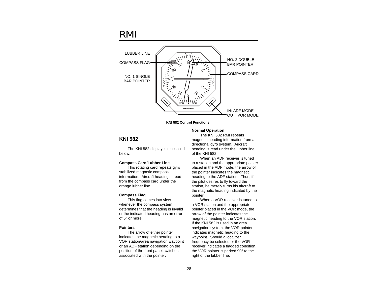# <span id="page-28-0"></span>RMI



**KNI 582 Control Functions**

# **KNI 582**

The KNI 582 display is discussed below:

## **Compass Card/Lubber Line**

This rotating card repeats gyro stabilized magnetic compass information. Aircraft heading is read from the compass card under the orange lubber line.

## **Compass Flag**

This flag comes into view whenever the compass system determines that the heading is invalid or the indicated heading has an error of 5° or more.

# **Pointers**

The arrow of either pointer indicates the magnetic heading to a VOR station/area navigation waypoint or an ADF station depending on the position of the front panel switches associated with the pointer.

#### **Normal Operation**

The KNI 582 RMI repeats magnetic heading information from a directional gyro system. Aircraft heading is read under the lubber line of the KNI 582.

When an ADF receiver is tuned to a station and the appropriate pointer placed in the ADF mode, the arrow of the pointer indicates the magnetic heading to the ADF station. Thus, if the pilot desires to fly toward the station, he merely turns his aircraft to the magnetic heading indicated by the pointer.

When a VOR receiver is tuned to a VOR station and the appropriate pointer placed in the VOR mode, the arrow of the pointer indicates the magnetic heading to the VOR station. If the KNI 582 is used in an area navigation system, the VOR pointer indicates magnetic heading to the waypoint. Should a localizer frequency be selected or the VOR receiver indicates a flagged condition, the VOR pointer is parked 90° to the right of the lubber line.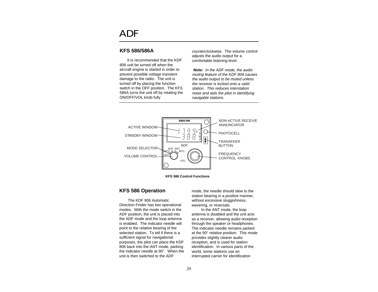# <span id="page-29-0"></span>ADF

# **KFS 586/586A**

It is recommended that the KDF 806 unit be turned off when the aircraft engine is started in order to prevent possible voltage transient damage to the radio. The unit is turned off by placing the function switch in the OFF position. The KFS 586A turns the unit off by rotating the ON/OFF/VOL knob fully

counterclockwise. The volume control adjusts the audio output for a comfortable listening level.

**Note:** In the ADF mode, the audio muting feature of the KDF 806 causes the audio output to be muted unless the receiver is locked onto a valid station. This reduces interstation noise and aids the pilot in identifying navigable stations.



**KFS 586 Control Functions**

# **KFS 586 Operation**

The KDF 806 Automatic Direction Finder has two operational modes. With the mode switch in the ADF position, the unit is placed into the ADF mode and the loop antenna is enabled. The indicator needle will point to the relative bearing of the selected station. To tell if there is a sufficient signal for navigational purposes, the pilot can place the KDF 806 back into the ANT mode, parking the indicator needle at 90°. When the unit is then switched to the ADF

mode, the needle should slew to the station bearing in a positive manner, without excessive sluggishness, wavering, or reversals.

In the ANT mode, the loop antenna is disabled and the unit acts as a receiver, allowing audio reception through the speaker or headphones. The indicator needle remains parked at the 90° relative position. This mode provides slightly clearer audio reception, and is used for station identification. In various parts of the world, some stations use an interrupted carrier for identification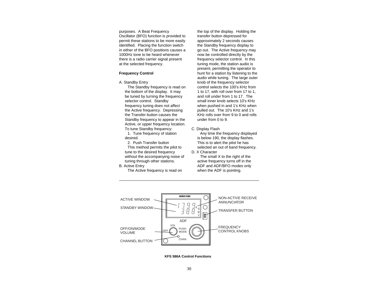purposes. A Beat Frequency Oscillator (BFO) function is provided to permit these stations to be more easily identified. Placing the function switch in either of the BFO positions causes a 1000Hz tone to be heard whenever there is a radio carrier signal present at the selected frequency.

#### **Frequency Control**

A. Standby Entry

The Standby frequency is read on the bottom of the display. It may be tuned by turning the frequency selector control. Standby frequency tuning does not affect the Active frequency. Depressing the Transfer button causes the Standby frequency to appear in the Active, or upper frequency location. To tune Standby frequency:

1. Tune frequency of station desired.

2. Push Transfer button This method permits the pilot to tune to the desired frequency without the accompanying noise of tuning through other stations.

B. Active Entry

The Active frequency is read on

the top of the display. Holding the transfer button depressed for approximately 2 seconds causes the Standby frequency display to go out. The Active frequency may now be controlled directly by the frequency selector control. In this tuning mode, the station audio is present, permitting the operator to hunt for a station by listening to the audio while tuning. The large outer knob of the frequency selector control selects the 100's KHz from 1 to 17, with roll over from 17 to 1, and roll under from 1 to 17. The small inner knob selects 10's KHz when pushed in and 1's KHz when pulled out. The 10's KHz and 1's KHz rolls over from 9 to 0 and rolls under from 0 to 9.

## C. Display Flash

Any time the frequency displayed is below 190, the display flashes. This is to alert the pilot he has selected an out of band frequency.

# D. X Character

The small X to the right of the active frequency turns off in the ADF and ADF/BFO modes only when the ADF is pointing.



**KFS 586A Control Functions**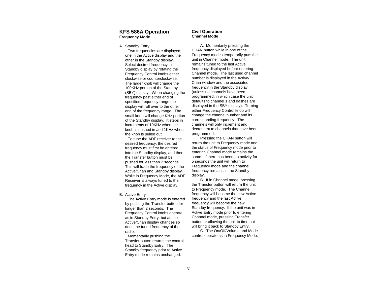# **KFS 586A Operation Frequency Mode**

#### A. Standby Entry

Two frequencies are displayed; one in the Active display and the other in the Standby display. Select desired frequency in Standby display by rotating the Frequency Control knobs either clockwise or counterclockwise. The larger knob will change the 100KHz portion of the Standby (SBY) display. When changing the frequency past either end of specified frequency range the display will roll over to the other end of the frequency range. The small knob will change KHz portion of the Standby display. It steps in increments of 10KHz when the knob is pushed in and 1KHz when the knob is pulled out.

To tune the ADF receiver to the desired frequency, the desired frequency must first be entered into the Standby display, and then the Transfer button must be pushed for less than 2 seconds. This will trade the frequency of the Active/Chan and Standby display. While in Frequency Mode, the ADF Receiver is always tuned to the frequency in the Active display.

#### B. Active Entry

The Active Entry mode is entered by pushing the Transfer button for longer than 2 seconds. The Frequency Control knobs operate as in Standby Entry, but as the Active/Chan display changes so does the tuned frequency of the radio.

Momentarily pushing the Transfer button returns the control head to Standby Entry. The Standby frequency prior to Active Entry mode remains unchanged.

## **Civil Operation Channel Mode**

A. Momentarily pressing the CHAN button while in one of the Frequency modes temporarily puts the unit in Channel mode. The unit remains tuned to the last Active frequency displayed before entering Channel mode. The last used channel number is displayed in the Active/ Chan window and the associated frequency in the Standby display (unless no channels have been programmed, in which case the unit defaults to channel 1 and dashes are displayed in the SBY display). Turning either Frequency Control knob will change the channel number and its corresponding frequency. The channels will only increment and decrement to channels that have been programmed.

Pressing the CHAN button will return the unit to Frequency mode and the status of Frequency mode prior to entering Channel mode remains the same. If there has been no activity for 5 seconds the unit will return to Frequency mode and the channel frequency remains in the Standby display.

B. If in Channel mode, pressing the Transfer button will return the unit to Frequency mode. The Channel frequency will become the new Active frequency and the last Active frequency will become the new Standby frequency. If the unit was in Active Entry mode prior to entering Channel mode, pressing Transfer button or allowing the unit to time out will bring it back to Standby Entry.

C. The On/Off/Volume and Mode control operate as in Frequency Mode.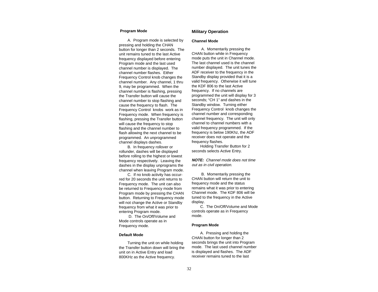#### **Program Mode**

A. Program mode is selected by pressing and holding the CHAN button for longer than 2 seconds. The unit remains tuned to the last Active frequency displayed before entering Program mode and the last used channel number is displayed. The channel number flashes. Either Frequency Control knob changes the channel number. Any channel, 1 thru 9, may be programmed. When the channel number is flashing, pressing the Transfer button will cause the channel number to stop flashing and cause the frequency to flash. The Frequency Control knobs work as in Frequency mode. When frequency is flashing, pressing the Transfer button will cause the frequency to stop flashing and the channel number to flash allowing the next channel to be programmed. An unprogrammed channel displays dashes.

B. In frequency rollover or rollunder, dashes will be displayed before rolling to the highest or lowest frequency respectively. Leaving the dashes in the display unprograms the channel when leaving Program mode.

C. If no knob activity has occurred for 20 seconds the unit returns to Frequency mode. The unit can also be returned to Frequency mode from Program mode by pressing the CHAN button. Returning to Frequency mode will not change the Active or Standby frequency from what it was prior to entering Program mode.

D. The On/Off/Volume and Mode controls operate as in Frequency mode.

#### **Default Mode**

Turning the unit on while holding the Transfer button down will bring the unit on in Active Entry and load 800KHz as the Active frequency.

# **Military Operation**

#### **Channel Mode**

A. Momentarily pressing the CHAN button while in Frequency mode puts the unit in Channel mode. The last channel used is the channel number displayed. The unit tunes the ADF receiver to the frequency in the Standby display provided that it is a valid frequency. Otherwise it will tune the KDF 806 to the last Active frequency. If no channels are programmed the unit will display for 3 seconds; "CH 1" and dashes in the Standby window. Turning either Frequency Control knob changes the channel number and corresponding channel frequency. The unit will only channel to channel numbers with a valid frequency programmed. If the frequency is below 190Khz, the ADF receiver does not operate and the frequency flashes.

Holding Transfer Button for 2 seconds selects Active Entry.

**NOTE:** Channel mode does not time out as in civil operation.

B. Momentarily pressing the CHAN button will return the unit to frequency mode and the status remains what it was prior to entering Channel mode. The KDF 806 will be tuned to the frequency in the Active display.

C. The On/Off/Volume and Mode controls operate as in Frequency mode.

#### **Program Mode**

A. Pressing and holding the CHAN button for longer than 2 seconds brings the unit into Program mode. The last used channel number is displayed and flashes. The ADF receiver remains tuned to the last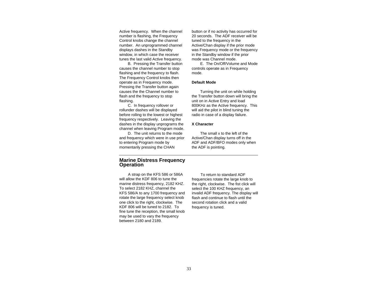Active frequency. When the channel number is flashing, the Frequency Control knobs change the channel number. An unprogrammed channel displays dashes in the Standby window, in which case the receiver tunes the last valid Active frequency.

B. Pressing the Transfer button causes the channel number to stop flashing and the frequency to flash. The Frequency Control knobs then operate as in Frequency mode. Pressing the Transfer button again causes the the Channel number to flash and the frequency to stop flashing.

C. In frequency rollover or rollunder dashes will be displayed before rolling to the lowest or highest frequency respectively. Leaving the dashes in the display unprograms the channel when leaving Program mode.

D. The unit returns to the mode and frequency which were in use prior to entering Program mode by momentarily pressing the CHAN

**Marine Distress Frequency Operation**

A strap on the KFS 586 or 586A will allow the KDF 806 to tune the marine distress frequency, 2182 KHZ. To select 2182 KHZ, channel the KFS 586/A to any 1700 frequency and rotate the large frequency select knob one click to the right, clockwise. The KDF 806 will be tuned to 2182. To fine tune the reception, the small knob may be used to vary the frequency between 2180 and 2189.

button or if no activity has occurred for 20 seconds. The ADF receiver will be tuned to the frequency in the Active/Chan display if the prior mode was Frequency mode or the frequency in the Standby window if the prior mode was Channel mode.

E. The On/Off/Volume and Mode controls operate as in Frequency mode.

## **Default Mode**

Turning the unit on while holding the Transfer button down will bring the unit on in Active Entry and load 800KHz as the Active frequency. This will aid the pilot in blind tuning the radio in case of a display failure.

## **X Character**

The small x to the left of the Active/Chan display turns off in the ADF and ADF/BFO modes only when the ADF is pointing.

To return to standard ADF frequencies rotate the large knob to the right, clockwise. The fist click will select the 100 KHZ frequency, an invalid ADF frequency. The display will flash and continue to flash until the second rotation click and a valid frequency is tuned.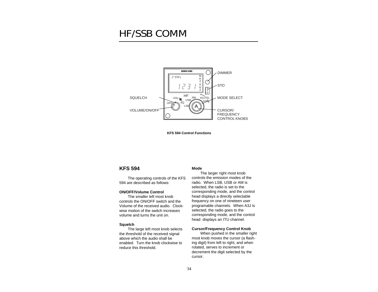# <span id="page-34-0"></span>HF/SSB COMM



**KFS 594 Control Functions**

# **KFS 594**

The operating controls of the KFS 594 are described as follows:

#### **ON/OFF/Volume Control**

The smaller left most knob controls the ON/OFF switch and the Volume of the received audio. Clockwise motion of the switch increases volume and turns the unit on.

#### **Squelch**

The large left most knob selects the threshold of the received signal above which the audio shall be enabled. Turn the knob clockwise to reduce this threshold.

## **Mode**

The larger right most knob controls the emission modes of the radio. When LSB, USB or AM is selected, the radio is set to the corresponding mode, and the control head displays a directly selectable frequency on one of nineteen user programable channels. When A3J is selected, the radio goes to the corresponding mode, and the control head displays an ITU channel.

#### **Cursor/Frequency Control Knob**

When pushed in the smaller right most knob moves the cursor (a flashing digit) from left to right, and when rotated, serves to increment or decrement the digit selected by the cursor.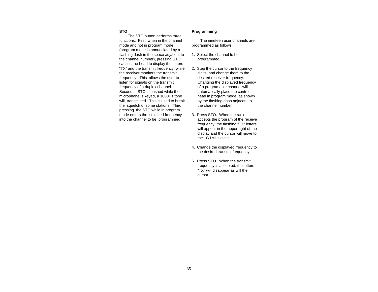# **STO**

The STO button performs three functions. First, when in the channel mode and not in program mode (program mode is annunciated by a flashing dash in the space adjacent to the channel number), pressing STO causes the head to display the letters "TX" and the transmit frequency, while the receiver monitors the transmit frequency. This allows the user to listen for signals on the transmit frequency of a duplex channel. Second, if STO is pushed while the microphone is keyed, a 1000Hz tone will transmitted. This is used to break the squelch of some stations. Third, pressing the STO while in program mode enters the selected frequency into the channel to be programmed.

## **Programming**

The nineteen user channels are programmed as follows:

- 1. Select the channel to be programmed.
- 2. Step the cursor to the frequency digits, and change them to the desired receiver frequency. Changing the displayed frequency of a programable channel will automatically place the control head in program mode, as shown by the flashing dash adjacent to the channel number.
- 3. Press STO. When the radio accepts the program of the receive frequency, the flashing "TX" letters will appear in the upper right of the display and the cursor will move to the 10/1MHz digits.
- 4. Change the displayed frequency to the desired transmit frequency.
- 5. Press STO. When the transmit frequency is accepted, the letters "TX" will disappear as will the cursor.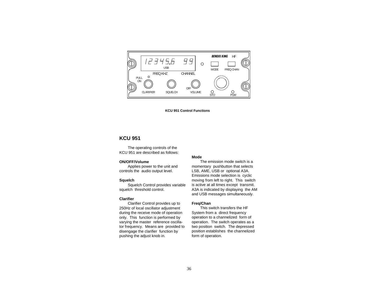<span id="page-36-0"></span>

**KCU 951 Control Functions**

# **KCU 951**

The operating controls of the KCU 951 are described as follows:

## **ON/OFF/Volume**

Applies power to the unit and controls the audio output level.

#### **Squelch**

Squelch Control provides variable squelch threshold control.

## **Clarifier**

Clarifier Control provides up to 250Hz of local oscillator adjustment during the receive mode of operation only. This function is performed by varying the master reference oscillator frequency. Means are provided to disengage the clarifier function by pushing the adjust knob in.

#### **Mode**

The emission mode switch is a momentary pushbutton that selects LSB, AME, USB or optional A3A. Emissions mode selection is cyclic moving from left to right. This switch is active at all times except transmit. A3A is indicated by displaying the AM and USB messages simultaneously.

#### **Freq/Chan**

This switch transfers the HF System from a direct frequency operation to a channelized form of operation. The switch operates as a two position switch. The depressed position establishes the channelized form of operation.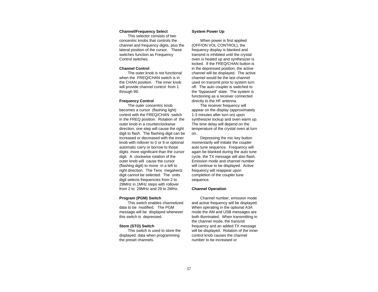#### **Channel/Frequency Select**

This selector consists of two concentric knobs that controls the channel and frequency digits, plus the lateral position of the cursor. These switches function as Frequency Control switches.

## **Channel Control**

The outer knob is not functional when the FREQ/CHAN switch is in the CHAN position. The inner knob will provide channel control from 1 through 99.

#### **Frequency Control**

The outer concentric knob becomes a cursor (flashing light) control with the FREQ/CHAN switch in the FREQ position. Rotation of the outer knob in a counterclockwise direction, one step will cause the right digit to flash. The flashing digit can be increased or decreased with the inner knob with rollover to 0 or 9 or optional automatic carry or borrow to those digits more significant than the cursor digit. A clockwise rotation of the outer knob will cause the cursor (flashing digit) to move in a left to right direction. The Tens megahertz digit cannot be selected. The units digit selects frequencies from 2 to 29MHz in 1MHz steps with rollover from 2 to 29MHz and 29 to 2MHz.

## **Program (PGM) Switch**

This switch enables channelized data to be modified. The PGM message will be displayed whenever this switch is depressed.

## **Store (STO) Switch**

This switch is used to store the displayed data when programming the preset channels.

#### **System Power Up**

When power is first applied (OFF/ON VOL CONTROL), the frequency display is blanked and transmit is inhibited until the crystal oven is heated up and synthesizer is locked. If the FREQ/CHAN button is in the depressed position, the active channel will be displayed. The active channel would be the last channel used on transmit prior to system turn off. The auto coupler is switched to the "bypassed" state. The system is functioning as a receiver connected directly to the HF antenna.

The receiver frequency will appear on the display (approximately 1-3 minutes after turn on) upon synthesizer lockup and oven warm up. The time delay will depend on the temperature of the crystal oven at turn on.

Depressing the mic key button momentarily will initiate the coupler auto tune sequence. Frequency will again be blanked during the auto tune cycle, the TX message will also flash. Emission mode and channel number will continue to be displayed. Active frequency will reappear upon completion of the coupler tune sequence.

## **Channel Operation**

Channel number, emission mode and active frequency will be displayed. When operating in the optional A3A mode the AM and USB messages are both illuminated. When transmitting in the channel mode, the transmit frequency and an added TX message will be displayed. Rotation of the inner control knob causes the channel number to be increased or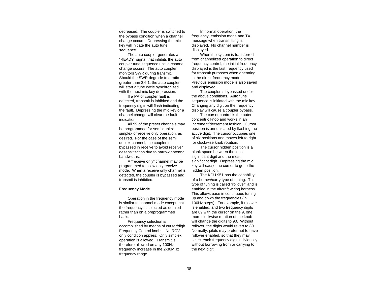decreased. The coupler is switched to the bypass condition when a channel change occurs. Depressing the mic key will initiate the auto tune sequence.

The auto coupler generates a "READY" signal that inhibits the auto coupler tune sequence until a channel change occurs. The auto coupler monitors SWR during transmit. Should the SWR degrade to a ratio greater than 3.6:1, the auto coupler will start a tune cycle synchronized with the next mic key depression.

If a PA or coupler fault is detected, transmit is inhibited and the frequency digits will flash indicating the fault. Depressing the mic key or a channel change will clear the fault indication.

All 99 of the preset channels may be programmed for semi duplex simplex or receive only operation, as desired. For the case of the semi duplex channel, the coupler is bypassed in receive to avoid receiver desensitization due to narrow antenna bandwidths.

A "receive only" channel may be programmed to allow only receive mode. When a receive only channel is detected, the coupler is bypassed and transmit is inhibited.

#### **Frequency Mode**

Operation in the frequency mode is similar to channel mode except that the frequency is selected as desired rather than on a preprogrammed basis.

Frequency selection is accomplished by means of cursor/digit Frequency Control knobs. No RCV only condition applies. Only simplex operation is allowed. Transmit is therefore allowed on any 100Hz frequency increase in the 2-30MHz frequency range.

In normal operation, the frequency, emission mode and TX message when transmitting is displayed. No channel number is displayed.

When the system is transferred from channelized operation to direct frequency control, the initial frequency displayed is the last frequency used for transmit purposes when operating in the direct frequency mode. Previous emission mode is also saved and displayed.

The coupler is bypassed under the above conditions. Auto tune sequence is initiated with the mic key. Changing any digit on the frequency display will cause a coupler bypass.

The cursor control is the outer concentric knob and works in an increment/decrement fashion. Cursor position is annunicated by flashing the active digit. The cursor occupies one of six positions and moves left to right for clockwise knob rotation.

The cursor hidden position is a blank space between the least significant digit and the most significant digit. Depressing the mic key will cause the cursor to go to the hidden position.

The KCU 951 has the capability of a borrow/carry type of tuning. This type of tuning is called "rollover" and is enabled in the aircraft wiring harness. This allows ease in continuous tuning up and down the frequencies (in 100Hz steps). For example, if rollover is enabled, and two frequency digits are 89 with the cursor on the 9, one more clockwise rotation of the knob will change the digits to 90. Without rollover, the digits would revert to 80. Normally, pilots may prefer not to have rollover enabled, so that they may select each frequency digit individually without borrowing from or carrying to the next digit.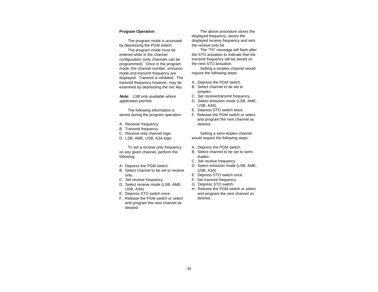## **Program Operation**

The program mode is accessed by depressing the PGM switch.

The program mode must be entered while in the channel configuration (only channels can be programmed). Once in the program mode, the channel number, emission mode and transmit frequency are displayed. Transmit is inhibited. The transmit frequency however, may be examined by depressing the mic key.

**Note:** LSB only available where application permits.

The following information is stored during the program operation:

- A. Receiver frequency
- B. Transmit frequency
- C. Receive only channel logic
- D. LSB, AME, USB, A3A logic

To set a receive only frequency on any given channel, perform the following:

- A. Depress the PGM switch.
- B. Select channel to be set to receive only.
- C. Set receive frequency.
- D. Select receive mode (LSB, AME, USB, A3A).
- E. Depress STO switch once.
- F. Release the PGM switch or select and program the next channel as desired.

The above procedure stores the displayed frequency, stores the displayed receive frequency and sets the receive only bit.

The "TX" message will flash after the STO actuation to indicate that the transmit frequency will be stored on the next STO actuation.

Setting a simplex channel would require the following steps:

- A. Depress the PGM switch.
- B. Select channel to be set to simplex.
- C. Set receive/transmit frequency.
- D. Select emission mode (LSB, AME, USB, A3A).
- E. Depress STO switch twice.
- F. Release the PGM switch or select and program the next channel as desired.

Setting a semi-duplex channel would require the following steps:

- A. Depress the PGM switch.
- B. Select channel to be set to semiduplex.
- C. Set receive frequency.
- D. Select emission mode (LSB, AME, USB, A3A)
- E. Depress STO switch once.
- F. Set transmit frequency.
- G. Depress STO switch.
- H. Release the PGM switch or select and program the next channel as desired.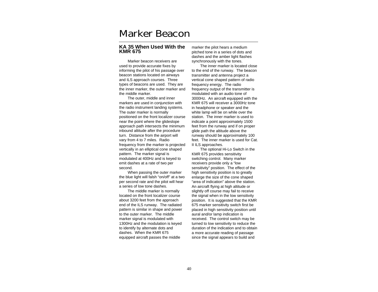# <span id="page-40-0"></span>Marker Beacon

# **KA 35 When Used With the KMR 675**

Marker beacon receivers are used to provide accurate fixes by informing the pilot of his passage over beacon stations located on airways and ILS approach courses. Three types of beacons are used. They are the inner marker, the outer marker and the middle marker.

The outer, middle and inner markers are used in conjunction with the radio instrument landing systems. The outer marker is normally positioned on the front localizer course near the point where the glideslope approach path intersects the minimum inbound altitude after the procedure turn. Distance from the airport will vary from 4 to 7 miles. Radio frequency from the marker is projected vertically in an elliptical cone shaped pattern. The marker signal is modulated at 400Hz and is keyed to emit dashes at a rate of two per second.

When passing the outer marker the blue light will falsh "on/off" at a two per second rate and the pilot will hear a series of low tone dashes.

The middle marker is normally located on the front localizer course about 3200 feet from the approach end of the ILS runway. The radiated pattern is similar in shape and power to the outer marker. The middle marker signal is modulated with 1300Hz and the modulation is keyed to identify by alternate dots and dashes. When the KMR 675 equipped aircraft passes the middle

marker the pilot hears a medium pitched tone in a series of dots and dashes and the amber light flashes synchronously with the tones.

The inner marker is located close to the end of the runway. The beacon transmitter and antenna project a vertical cone shaped pattern of radio frequency energy. The radio frequency output of the transmitter is modulated with an audio tone of 3000Hz. An aircraft equipped with the KMR 675 will receiver a 3000Hz tone in headphone or speaker and the white lamp will be on while over the station. The inner marker is used to indicate a point approximately 1500 feet from the runway and if on proper glide path the altitude above the runway should be approximately 100 feet. The inner marker is used for Cat. II ILS approaches.

The optional Hi-Lo Switch in the KMR 675 provides sensitivity switching control. Many marker receivers provide only a "low sensitivity" position. The effect of the high sensitivity position is to greatly enlarge the size of the cone shaped "area of indication" above the station. An aircraft flying at high altitude or slightly off course may fail to receive the signal when in the low sensitivity position. It is suggested that the KMR 675 marker sensitivity switch first be placed in high sensitivity position until aural and/or lamp indication is received. The control switch may be turned to low sensitivity to reduce the duration of the indication and to obtain a more accurate reading of passage since the signal appears to build and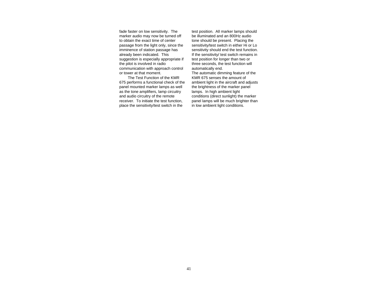fade faster on low sensitivity. The marker audio may now be turned off to obtain the exact time of center passage from the light only, since the imminence of station passage has already been indicated. This suggestion is especially appropriate if the pilot is involved in radio communication with approach control or tower at that moment.

The Test Function of the KMR 675 performs a functional check of the panel mounted marker lamps as well as the tone amplifiers, lamp circuitry and audio circuitry of the remote receiver. To initiate the test function, place the sensitivity/test switch in the

test position. All marker lamps should be illuminated and an 800Hz audio tone should be present. Placing the sensitivity/test switch in either Hi or Lo sensitivity should end the test function. If the sensitivity/ test switch remains in test position for longer than two or three seconds, the test function will automatically end.

The automatic dimming feature of the KMR 675 senses the amount of ambient light in the aircraft and adjusts the brightness of the marker panel lamps. In high ambient light conditions (direct sunlight) the marker panel lamps will be much brighter than in low ambient light conditions.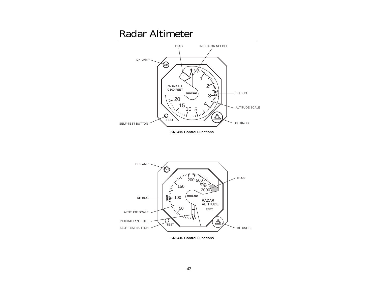# <span id="page-42-0"></span>Radar Altimeter



**KNI 416 Control Functions**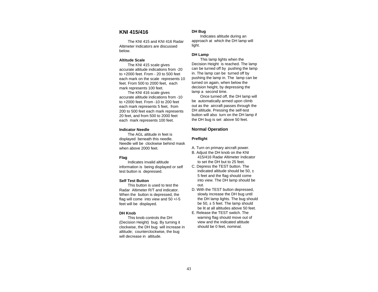# <span id="page-43-0"></span>**KNI 415/416**

The KNI 415 and KNI 416 Radar Altimeter Indicators are discussed below.

#### **Altitude Scale**

The KNI 415 scale gives accurate altitude indications from -20 to +2000 feet. From - 20 to 500 feet each mark on the scale represents 10 feet. From 500 to 2000 feet, each mark represents 100 feet.

The KNI 416 scale gives accurate altitude indications from -10 to +2000 feet. From -10 to 200 feet each mark represents 5 feet, from 200 to 500 feet each mark represents 20 feet, and from 500 to 2000 feet each mark represents 100 feet.

#### **Indicator Needle**

The AGL altitude in feet is displayed beneath this needle. Needle will be clockwise behind mask when above 2000 feet.

## **Flag**

Indicates invalid altitude information is being displayed or self test button is depressed.

# **Self Test Button**

This button is used to test the Radar Altimeter R/T and indicator. When the button is depressed, the flag will come into view and 50 +/-5 feet will be displayed.

## **DH Knob**

This knob controls the DH (Decision Height) bug. By turning it clockwise, the DH bug will increase in altitude; counterclockwise, the bug will decrease in altitude.

## **DH Bug**

Indicates altitude during an approach at which the DH lamp will light.

#### **DH Lamp**

This lamp lights when the Decision Height is reached. The lamp can be turned off by pushing the lamp in. The lamp can be turned off by pushing the lamp in. The lamp can be turned on again, when below the decision height, by depressing the lamp a second time.

Once turned off, the DH lamp will be automatically armed upon climb out as the aircraft passes through the DH altitude. Pressing the self-test button will also turn on the DH lamp if the DH bug is set above 50 feet.

# **Normal Operation**

## **Preflight**

- A. Turn on primary aircraft power.
- B. Adjust the DH knob on the KNI 415/416 Radar Altimeter Indicator to set the DH but to 25 feet.
- C. Depress the TEST button. The indicated altitude should be 50.  $\pm$ 5 feet and the flag should come into view. The DH lamp should be out.
- D. With the TEST button depressed, slowly increase the DH bug until the DH lamp lights. The bug should be 50, ± 5 feet. The lamp should be lit at all altitudes above 50 feet.
- E. Release the TEST switch. The warning flag should move out of view and the indicated altitude should be 0 feet, nominal.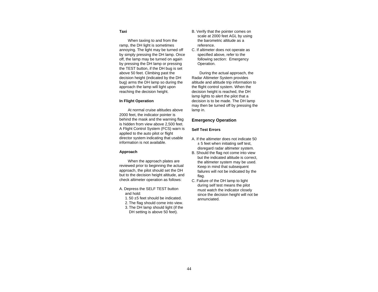# **Taxi**

When taxiing to and from the ramp, the DH light is sometimes annoying. The light may be turned off by simply pressing the DH lamp. Once off, the lamp may be turned on again by pressing the DH lamp or pressing the TEST button, if the DH bug is set above 50 feet. Climbing past the decision height (indicated by the DH bug) arms the DH lamp so during the approach the lamp will light upon reaching the decision height.

## **In Flight Operation**

At normal cruise altitudes above 2000 feet, the indicator pointer is behind the mask and the warning flag is hidden from view above 2,500 feet. A Flight Control System (FCS) warn is applied to the auto pilot or flight director system indicating that usable information is not available.

## **Approach**

When the approach plates are reviewed prior to beginning the actual approach, the pilot should set the DH but to the decision height altitude, and check altimeter operation as follows:

- A. Depress the SELF TEST button and hold:
	- 1. 50 ±5 feet should be indicated.
	- 2. The flag should come into view.
	- 3. The DH lamp should light (if the DH setting is above 50 feet).
- B. Verify that the pointer comes on scale at 2000 feet AGL by using the barometric altitude as a reference.
- C. If altimeter does not operate as specified above, refer to the following section: Emergency Operation.

During the actual approach, the Radar Altimeter System provides altitude and altitude trip information to the flight control system. When the decision height is reached, the DH lamp lights to alert the pilot that a decision is to be made. The DH lamp may then be turned off by pressing the lamp in.

# **Emergency Operation**

# **Self Test Errors**

- A. If the altimeter does not indicate 50  $± 5$  feet when initiating self test, disregard radar altimeter system.
- B. Should the flag not come into view but the indicated altitude is correct, the altimeter system may be used. Keep in mind that subsequent failures will not be indicated by the flag.
- C. Failure of the DH lamp to light during self test means the pilot must watch the indicator closely since the decision height will not be annunciated.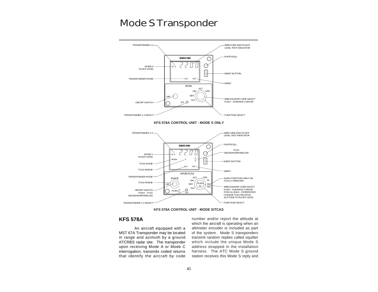# <span id="page-45-0"></span>Mode S Transponder



**KFS 578A CONTROL UNIT - MODE S/TCAS**

# **KFS 578A**

An aircraft equipped with a MST 67A Transponder may be located in range and azimuth by a ground ATCRBS radar site. The transponder upon receiving Mode A or Mode C interrogation, transmits coded returns that identify the aircraft by code

number and/or report the altitude at which the aircraft is operating when an altimeter encoder is included as part of the system. Mode S transponders transmit random replies called squitter which include the unique Mode S address strapped in the installation harness. The ATC Mode S ground station receives this Mode S reply and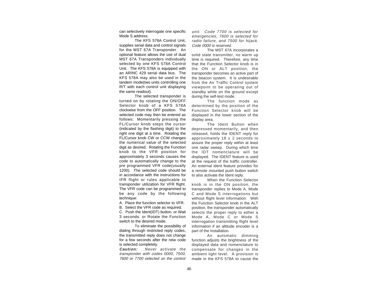can selectively interrogate one specific Mode S address.

The KFS 578A Control Unit, supplies serial data and control signals for the MST 67A Transponder. An optional feature allows the use of dual MST 67A Transponders individually selected by one KFS 578A Control Unit. The KFS 578A is equipped with an ARINC 429 serial data bus. The KFS 578A may also be used in the tandem mode(two units controlling one R/T with each control unit displaying the same readout).

The selected transponder is turned on by rotating the ON/OFF Selector knob of a KFS 578A clockwise from the OFF position. The selected code may then be entered as follows: Momentarily pressing the FL/Cursor knob steps the cursor (indicated by the flashing digit) to the right one digit at a time. Rotating the FL/Cursor knob CW or CCW changes the numerical value of the selected digit as desired. Rotating the Function knob to the VFR position for approximately 3 seconds causes the code to automatically change to the pre programmed VFR code(usually 1200). The selected code should be in accordance with the instructions for IFR flight or rules applicable to transponder utilization for VFR flight. The VFR code can be programmed to be any code by the following technique:

A. Place the function selector to VFR.

B. Select the VFR code as required.

C. Push the Ident(IDT) button. or Wait 3 seconds. or Rotate the Function switch to the desired mode.

To eliminate the possibility of dialing through restricted reply codes, the transmitted reply does not change for a few seconds after the new code is selected completely.

**Caution:** Never activate the transponder with codes 0000, 7500, 7600 or 7700 selected on the control

unit. Code 7700 is selected for emergencies, 7600 is selected for radio failure, and 7500 for hijack. Code 0000 is reserved.

The MST 67A incorporates a solid state transmitter, no warm up time is required. Therefore, any time that the Function Selector knob is in the ON or ALT position, the transponder becomes an active part of the beacon system. It is undesirable from the Air Traffic Control system viewpoint to be operating out of standby while on the ground except during the self-test mode.

The function mode as determined by the position of the Function Selector knob will be displayed in the lower section of the display area.

The Ident Button when depressed momentarily, and then released, holds the IDENT reply for approximately  $18 \pm 2$  seconds to assure the proper reply within at least one radar sweep. During which time the IDT nomenclature will be displayed. The IDENT feature is used at the request of the traffic controller. An external ident feature provides for a remote mounted push button switch to also activate the Ident reply.

When the Function Selector knob is in the ON position, the transponder replies to Mode A, Mode C and Mode S interrogations but without flight level information. With the Function Selector knob in the ALT position, the transponder automatically selects the proper reply to either a Mode A, Mode C or Mode S interrogation transmitting flight level information if an altitude encoder is a part of the installation.

An automatic dimming function adjusts the brightness of the displayed data and nomenclature to compensate for changes in the ambient light level. A provision is made in the KFS 578A to cause the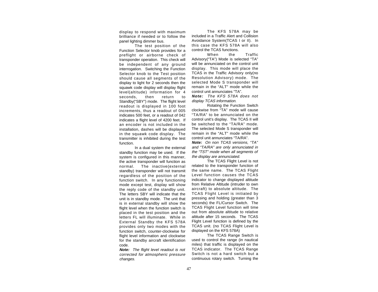display to respond with maximum brilliance if needed or to follow the panel lighting dimmer bus.

The test position of the Function Selector knob provides for a preflight or airborne check of transponder operation. This check will be independent of any ground interrogation. Switching the Function Selector knob to the Test position should cause all segments of the display to light for 2 seconds then the squawk code display will display flight level(altitude) information for 4 seconds, then return to Standby("SBY") mode. The flight level readout is displayed in 100 foot increments, thus a readout of 005 indicates 500 feet, or a readout of 042 indicates a flight level of 4200 feet. If an encoder is not included in the installation, dashes will be displayed in the squawk code display. The transmitter is inhibited during the test function.

In a dual system the external standby function may be used. If the system is configured in this manner. the active transponder will function as normal. The inactive(external standby) transponder will not transmit regardless of the position of the function switch. In any functioning mode except test, display will show the reply code of the standby unit. The letters SBY will indicate that the unit is in standby mode. The unit that is in external standby will show the flight level when the function switch is placed in the test position and the letters FL will illuminate. While in External Standby the KFS 578A provides only two modes with the function switch, counter-clockwise for flight level information and clockwise for the standby aircraft identification code.

**Note:** The flight level readout is not corrected for atmospheric pressure changes.

The KFS 578A may be included in a Traffic Alert and Collision Avoidance System(TCAS I or II). In this case the KFS 578A will also control the TCAS functions.

When the Traffic Advisory("TA") Mode is selected "TA" will be annunciated on the control unit display. This mode will place the TCAS in the Traffic Advisory only(no Resolution Advisory) mode. The selected Mode S transponder will remain in the "ALT" mode while the control unit annunciates "TA".

**Note:** The KFS 578A does not display TCAS information.

Rotating the Function Switch clockwise from "TA" mode will cause "TA/RA" to be annunciated on the control unit's display. The TCAS II will be switched to the "TA/RA" mode. The selected Mode S transponder will remain in the "ALT" mode while the control unit annunciates "TA/RA".

**Note:** On non TCAS versions, "TA" and "TA/RA" are only annunciated in the "TST" mode when all segments of the display are annunciated.

The TCAS Flight Level is not related to the transponder function of the same name. The TCAS Flight Level function causes the TCAS indicator to change displayed altitude from Relative Altitude (intruder to own aircraft) to absolute altitude. The TCAS Flight Level is initiated by pressing and holding (greater than 3 seconds) the FL/Cursor Switch. The TCAS Flight Level function will time out from absolute altitude to relative altitude after 15 seconds. The TCAS Flight Level function is defined by the TCAS unit. (no TCAS Flight Level is displayed on the KFS 578A)

The TCAS Range Switch is used to control the range (in nautical miles) that traffic is displayed on the TCAS indicator. The TCAS Range Switch is not a hard switch but a continuous rotary switch. Turning the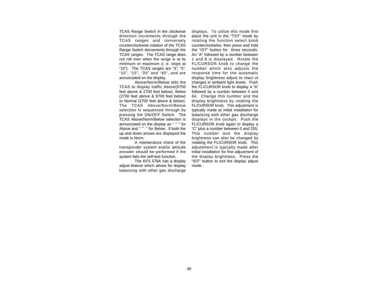TCAS Range Switch in the clockwise direction increments through the TCAS ranges and conversely counterclockwise rotation of the TCAS Range Switch decrements through the TCAS ranges. The TCAS range does not roll over when the range is at its minimum or maximum (i. e. stops at "15"). The TCAS ranges are "3", "5", "10", "15", "20" and "40", and are annunciated on the display.

Above/Norm/Below tells the TCAS to display traffic Above(8700 feet above & 2700 feet below), Below (2700 feet above & 8700 feet below) or Normal (2700 feet above & below). The TCAS Above/Norm/Below selection is sequenced through by pressing the ON/OFF Switch. The TCAS Above/Norm/Below selection is annunciated on the display as " ˆ" for Above and " ˇ " for Below. If both the up and down arrows are displayed the mode is Norm.

A maintenance check of the transponder system and/or altitude encoder should be performed if the system fails the self-test function.

The KFS 578A has a display adjust feature which allows for display balancing with other gas discharge displays. To utilize this mode first place the unit in the "TST" mode by rotating the function select knob counterclockwise, then press and hold the "IDT" button for three seconds. An "A" followed by a number between 1 and 8 is displayed. Rotate the FL/CURSOR knob to change the number which also adjusts the response time for the automatic display brightness adjust to react ot changes in ambient light levels. Push the FL/CURSOR knob to display a "b" followed by a number between 0 and 64. Change this number and the display brightness by rotating the FL/CURSOR knob. This adjustment is typically made at initial installation for balancing with other gas discharge displays in the cockpit. Push the FL/CURSOR knob again to display a "C" plus a number between 0 and 255. This number and the display brightness can also be changed by rotaiting the FL/CURSOR knob. This adjustment is typically made after initial installation for fine adjustment of the display brightness. Press the "IDT" button to exit the display adjust mode.